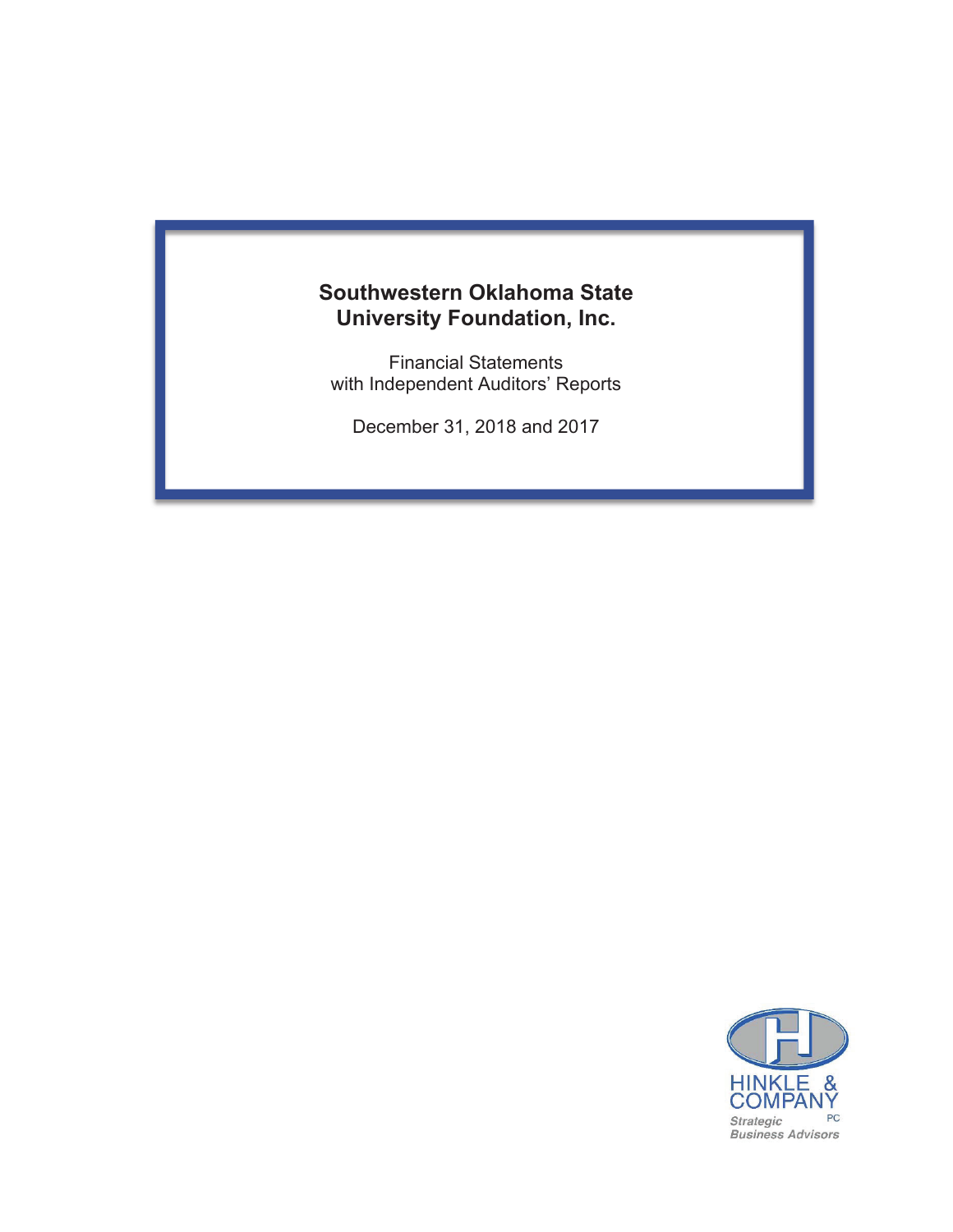# **Southwestern Oklahoma State University Foundation, Inc.**

**Financial Statements** with Independent Auditors' Reports

December 31, 2018 and 2017

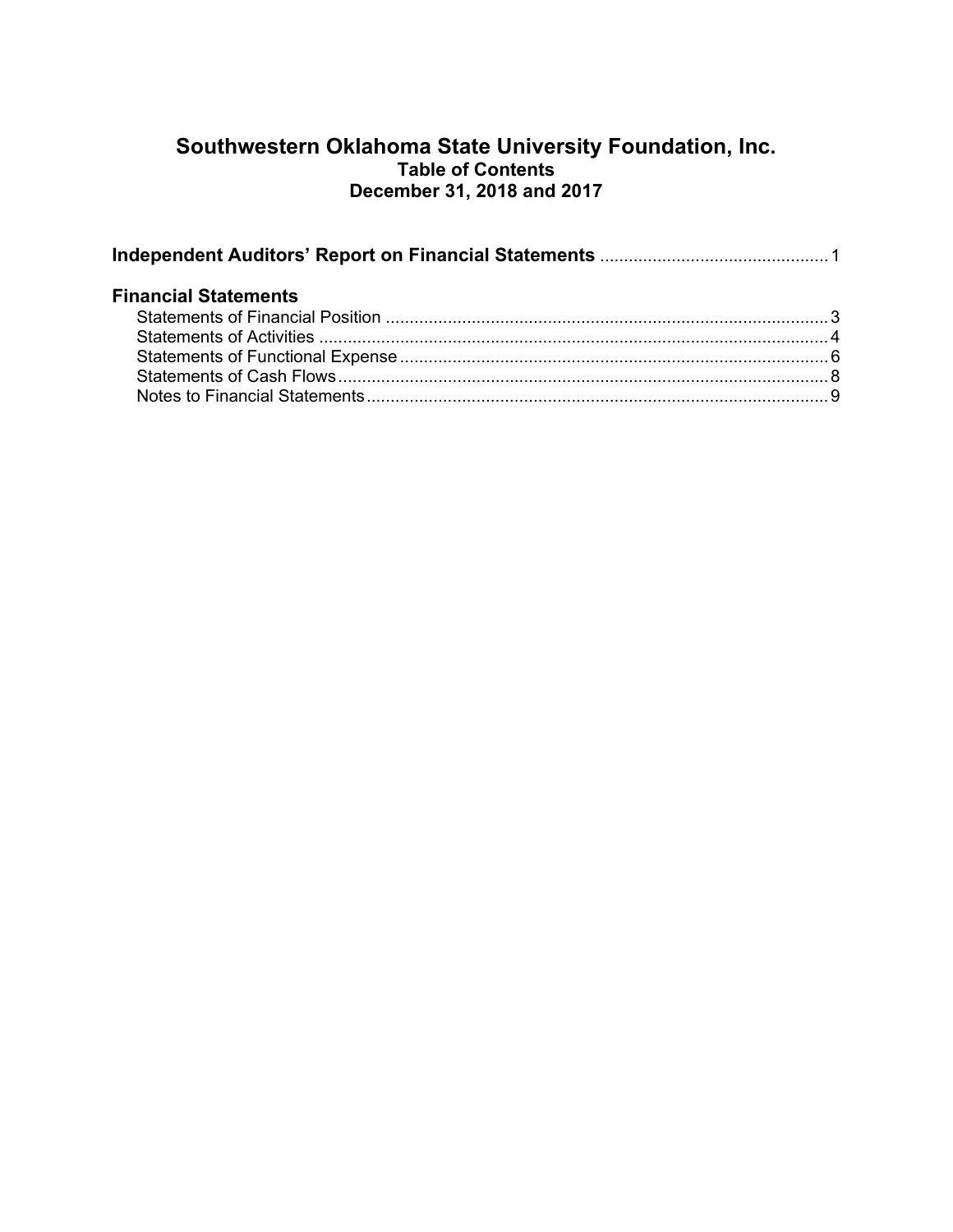# **Southwestern Oklahoma State University Foundation, Inc. Table of Contents December 31, 2018 and 2017**

| <b>Financial Statements</b> |  |  |  |  |  |  |
|-----------------------------|--|--|--|--|--|--|
|                             |  |  |  |  |  |  |
|                             |  |  |  |  |  |  |
|                             |  |  |  |  |  |  |
|                             |  |  |  |  |  |  |
|                             |  |  |  |  |  |  |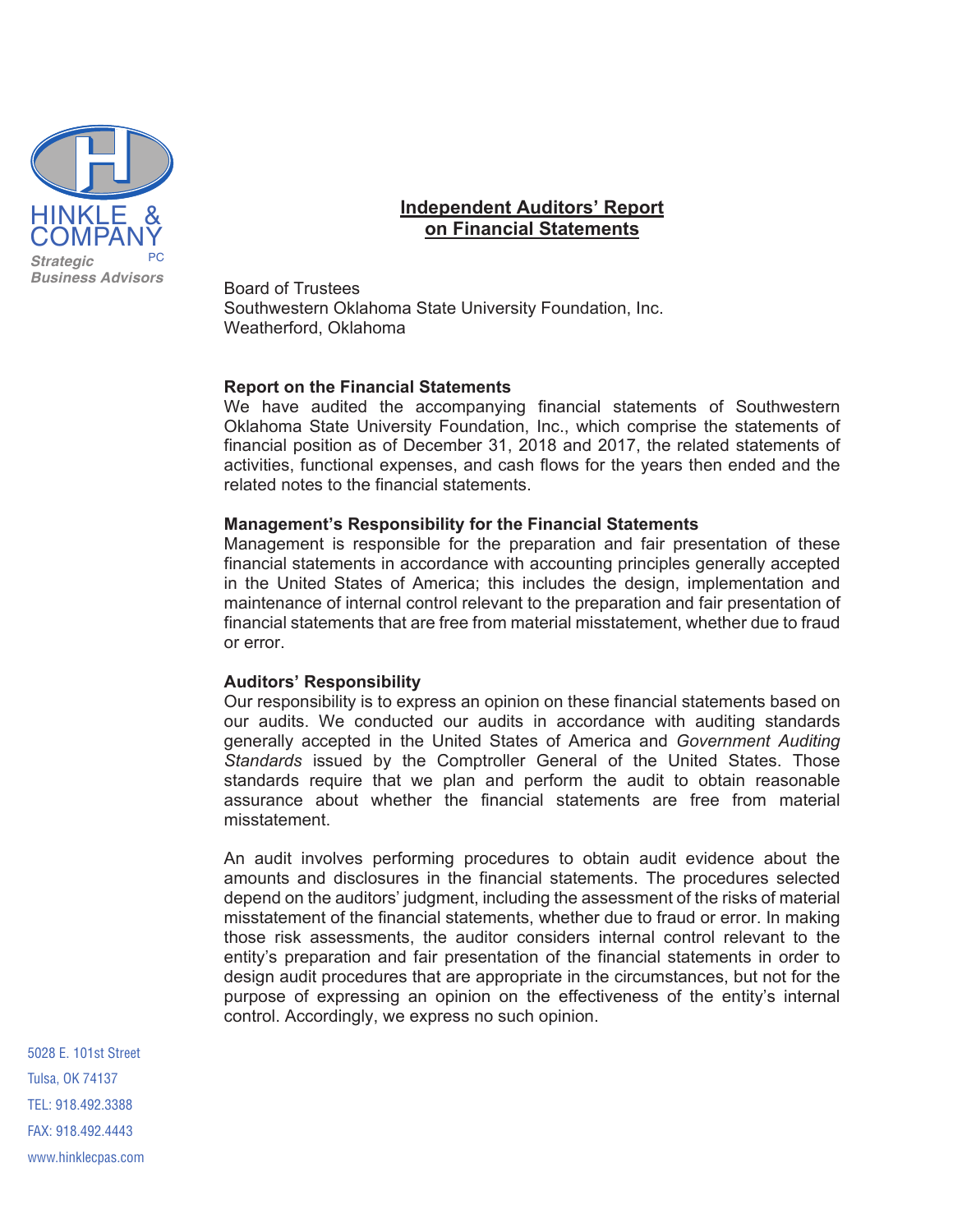

# **Independent Auditors' Report on Financial Statements**

Board of Trustees Southwestern Oklahoma State University Foundation, Inc. Weatherford, Oklahoma

#### **Report on the Financial Statements**

We have audited the accompanying financial statements of Southwestern Oklahoma State University Foundation, Inc., which comprise the statements of financial position as of December 31, 2018 and 2017, the related statements of activities, functional expenses, and cash flows for the years then ended and the related notes to the financial statements.

#### **Management's Responsibility for the Financial Statements**

Management is responsible for the preparation and fair presentation of these financial statements in accordance with accounting principles generally accepted in the United States of America; this includes the design, implementation and maintenance of internal control relevant to the preparation and fair presentation of financial statements that are free from material misstatement, whether due to fraud or error.

#### **Auditors' Responsibility**

Our responsibility is to express an opinion on these financial statements based on our audits. We conducted our audits in accordance with auditing standards generally accepted in the United States of America and Government Auditing Standards issued by the Comptroller General of the United States. Those standards require that we plan and perform the audit to obtain reasonable assurance about whether the financial statements are free from material misstatement.

An audit involves performing procedures to obtain audit evidence about the amounts and disclosures in the financial statements. The procedures selected depend on the auditors' judgment, including the assessment of the risks of material misstatement of the financial statements, whether due to fraud or error. In making those risk assessments, the auditor considers internal control relevant to the entity's preparation and fair presentation of the financial statements in order to design audit procedures that are appropriate in the circumstances, but not for the purpose of expressing an opinion on the effectiveness of the entity's internal control. Accordingly, we express no such opinion.

5028 E. 101st Street Tulsa, OK 74137 TEL: 918.492.3388 FAX: 918.492.4443 www.hinklecpas.com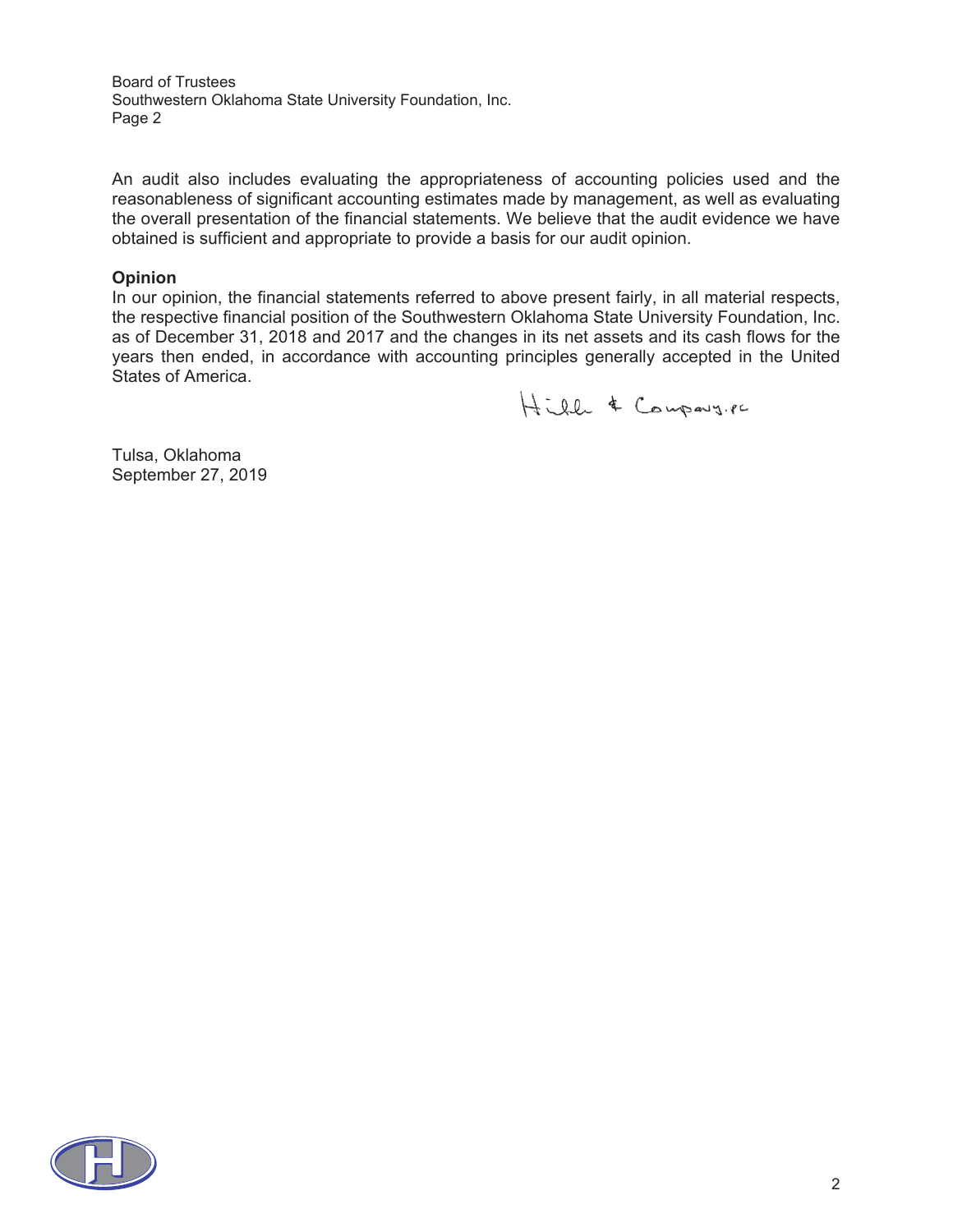**Board of Trustees** Southwestern Oklahoma State University Foundation, Inc. Page 2

An audit also includes evaluating the appropriateness of accounting policies used and the reasonableness of significant accounting estimates made by management, as well as evaluating the overall presentation of the financial statements. We believe that the audit evidence we have obtained is sufficient and appropriate to provide a basis for our audit opinion.

#### **2D**

In our opinion, the financial statements referred to above present fairly, in all material respects, the respective financial position of the Southwestern Oklahoma State University Foundation, Inc. as of December 31, 2018 and 2017 and the changes in its net assets and its cash flows for the years then ended, in accordance with accounting principles generally accepted in the United States of America.

Hitle & Company.pc

Tulsa, Oklahoma September 27, 2019

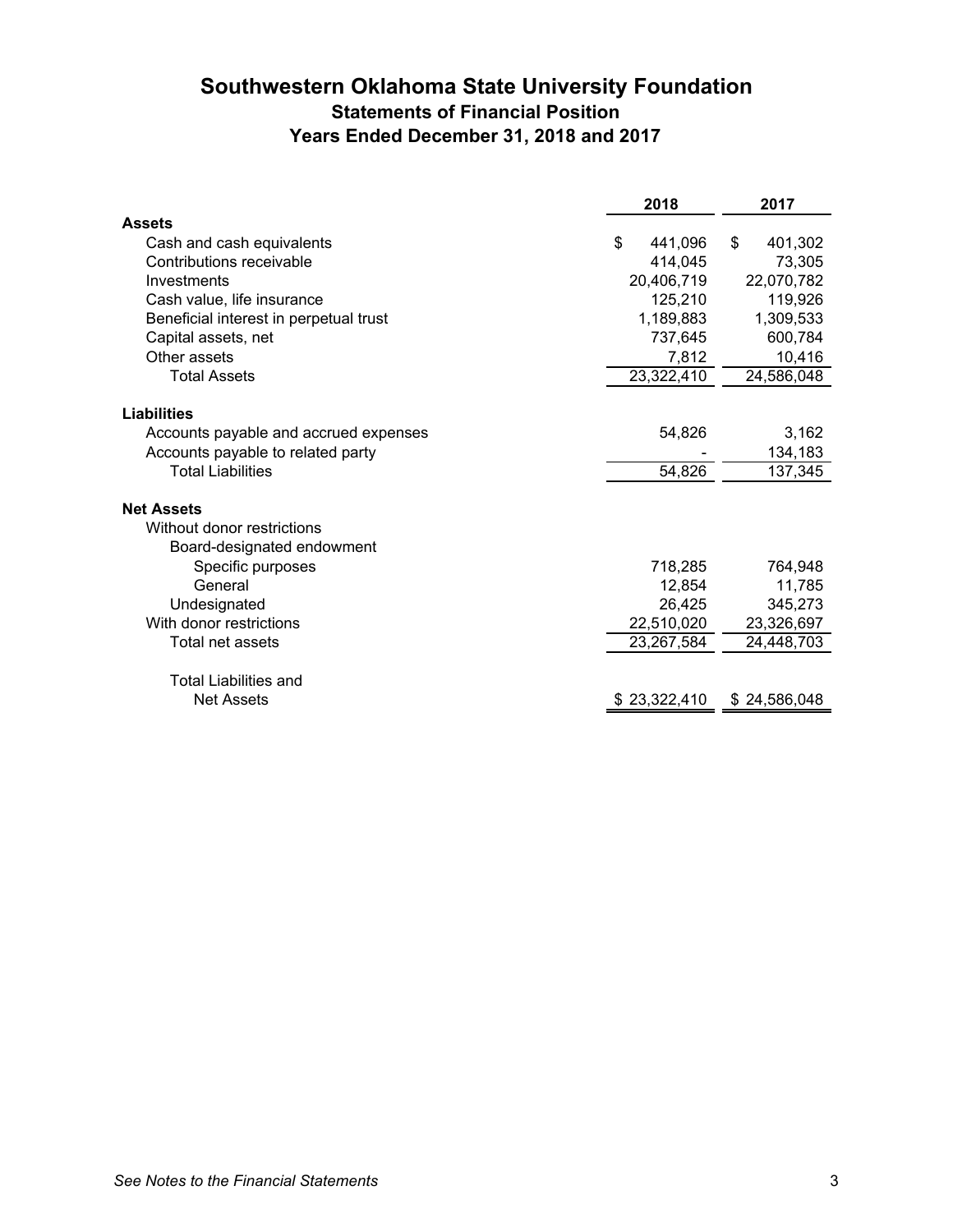# **Southwestern Oklahoma State University Foundation Statements of Financial Position Years Ended December 31, 2018 and 2017**

|                                                   | 2018          | 2017          |
|---------------------------------------------------|---------------|---------------|
| <b>Assets</b>                                     |               |               |
| Cash and cash equivalents                         | \$<br>441,096 | \$<br>401,302 |
| Contributions receivable                          | 414,045       | 73,305        |
| Investments                                       | 20,406,719    | 22,070,782    |
| Cash value, life insurance                        | 125,210       | 119,926       |
| Beneficial interest in perpetual trust            | 1,189,883     | 1,309,533     |
| Capital assets, net                               | 737,645       | 600,784       |
| Other assets                                      | 7,812         | 10,416        |
| <b>Total Assets</b>                               | 23,322,410    | 24,586,048    |
|                                                   |               |               |
| <b>Liabilities</b>                                |               |               |
| Accounts payable and accrued expenses             | 54,826        | 3,162         |
| Accounts payable to related party                 |               | 134,183       |
| <b>Total Liabilities</b>                          | 54,826        | 137,345       |
| <b>Net Assets</b>                                 |               |               |
| Without donor restrictions                        |               |               |
| Board-designated endowment                        |               |               |
| Specific purposes                                 | 718,285       | 764,948       |
| General                                           | 12,854        | 11,785        |
| Undesignated                                      | 26,425        | 345,273       |
| With donor restrictions                           | 22,510,020    | 23,326,697    |
| Total net assets                                  | 23,267,584    | 24,448,703    |
|                                                   |               |               |
| <b>Total Liabilities and</b><br><b>Net Assets</b> | \$23,322,410  | \$24,586,048  |
|                                                   |               |               |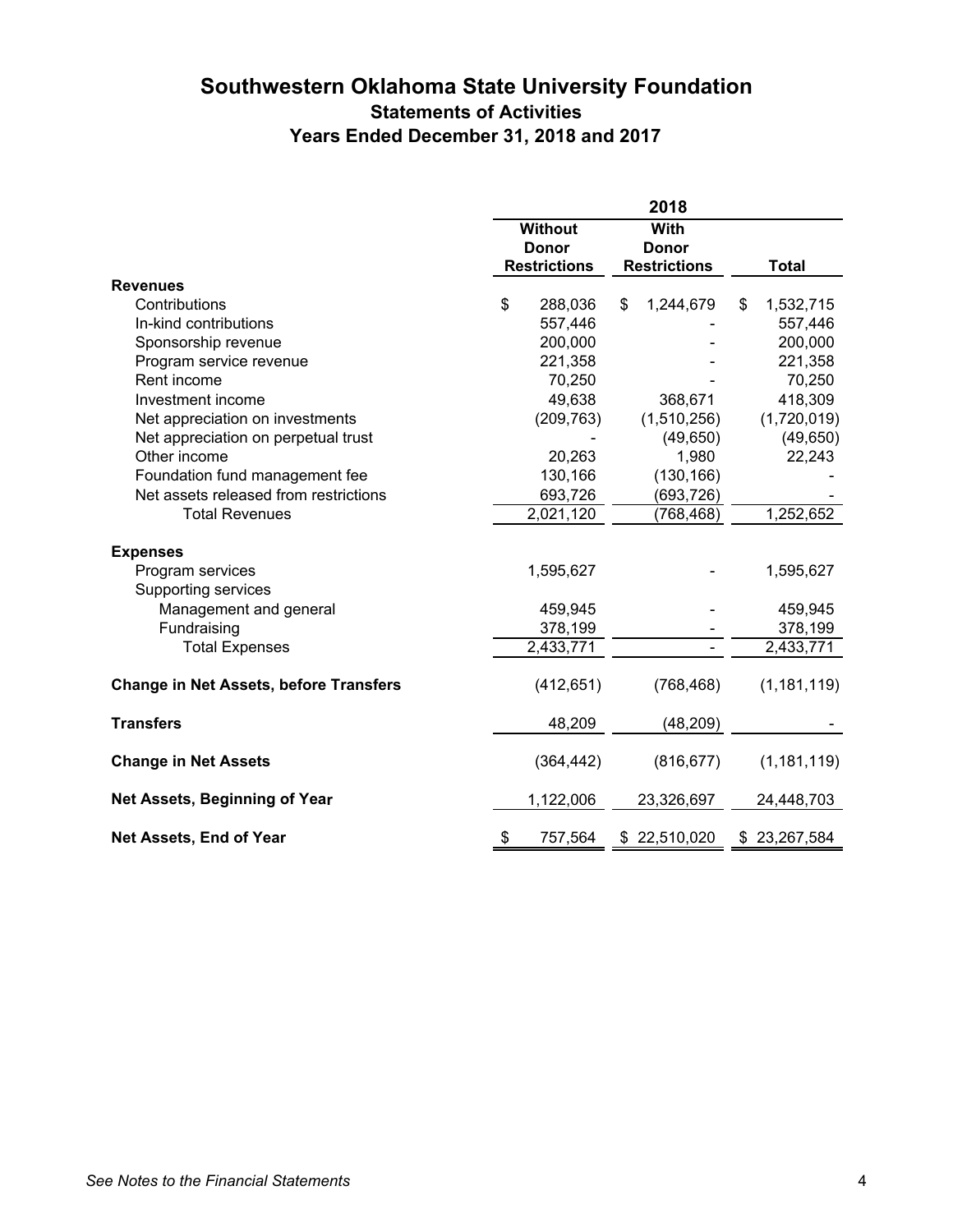# **Southwestern Oklahoma State University Foundation Statements of Activities Years Ended December 31, 2018 and 2017**

|                                               | 2018 |                                                        |    |                     |    |               |
|-----------------------------------------------|------|--------------------------------------------------------|----|---------------------|----|---------------|
|                                               |      | <b>Without</b><br>With<br><b>Donor</b><br><b>Donor</b> |    |                     |    |               |
|                                               |      | <b>Restrictions</b>                                    |    | <b>Restrictions</b> |    | <b>Total</b>  |
| <b>Revenues</b>                               |      |                                                        |    |                     |    |               |
| Contributions                                 | \$   | 288,036                                                | \$ | 1,244,679           | \$ | 1,532,715     |
| In-kind contributions                         |      | 557,446                                                |    |                     |    | 557,446       |
| Sponsorship revenue                           |      | 200,000                                                |    |                     |    | 200,000       |
| Program service revenue                       |      | 221,358                                                |    |                     |    | 221,358       |
| Rent income                                   |      | 70,250                                                 |    |                     |    | 70,250        |
| Investment income                             |      | 49,638                                                 |    | 368,671             |    | 418,309       |
| Net appreciation on investments               |      | (209, 763)                                             |    | (1,510,256)         |    | (1,720,019)   |
| Net appreciation on perpetual trust           |      |                                                        |    | (49, 650)           |    | (49, 650)     |
| Other income                                  |      | 20,263                                                 |    | 1,980               |    | 22,243        |
| Foundation fund management fee                |      | 130,166                                                |    | (130, 166)          |    |               |
| Net assets released from restrictions         |      | 693,726                                                |    | (693, 726)          |    |               |
| <b>Total Revenues</b>                         |      | 2,021,120                                              |    | (768, 468)          |    | 1,252,652     |
| <b>Expenses</b>                               |      |                                                        |    |                     |    |               |
| Program services                              |      | 1,595,627                                              |    |                     |    | 1,595,627     |
| Supporting services                           |      |                                                        |    |                     |    |               |
| Management and general                        |      | 459,945                                                |    |                     |    | 459,945       |
| Fundraising                                   |      | 378,199                                                |    |                     |    | 378,199       |
| <b>Total Expenses</b>                         |      | 2,433,771                                              |    |                     |    | 2,433,771     |
|                                               |      |                                                        |    |                     |    |               |
| <b>Change in Net Assets, before Transfers</b> |      | (412, 651)                                             |    | (768, 468)          |    | (1, 181, 119) |
| <b>Transfers</b>                              |      | 48,209                                                 |    | (48, 209)           |    |               |
| <b>Change in Net Assets</b>                   |      | (364, 442)                                             |    | (816, 677)          |    | (1, 181, 119) |
| Net Assets, Beginning of Year                 |      | 1,122,006                                              |    | 23,326,697          |    | 24,448,703    |
| Net Assets, End of Year                       | \$   | 757,564                                                |    | \$22,510,020        |    | \$23,267,584  |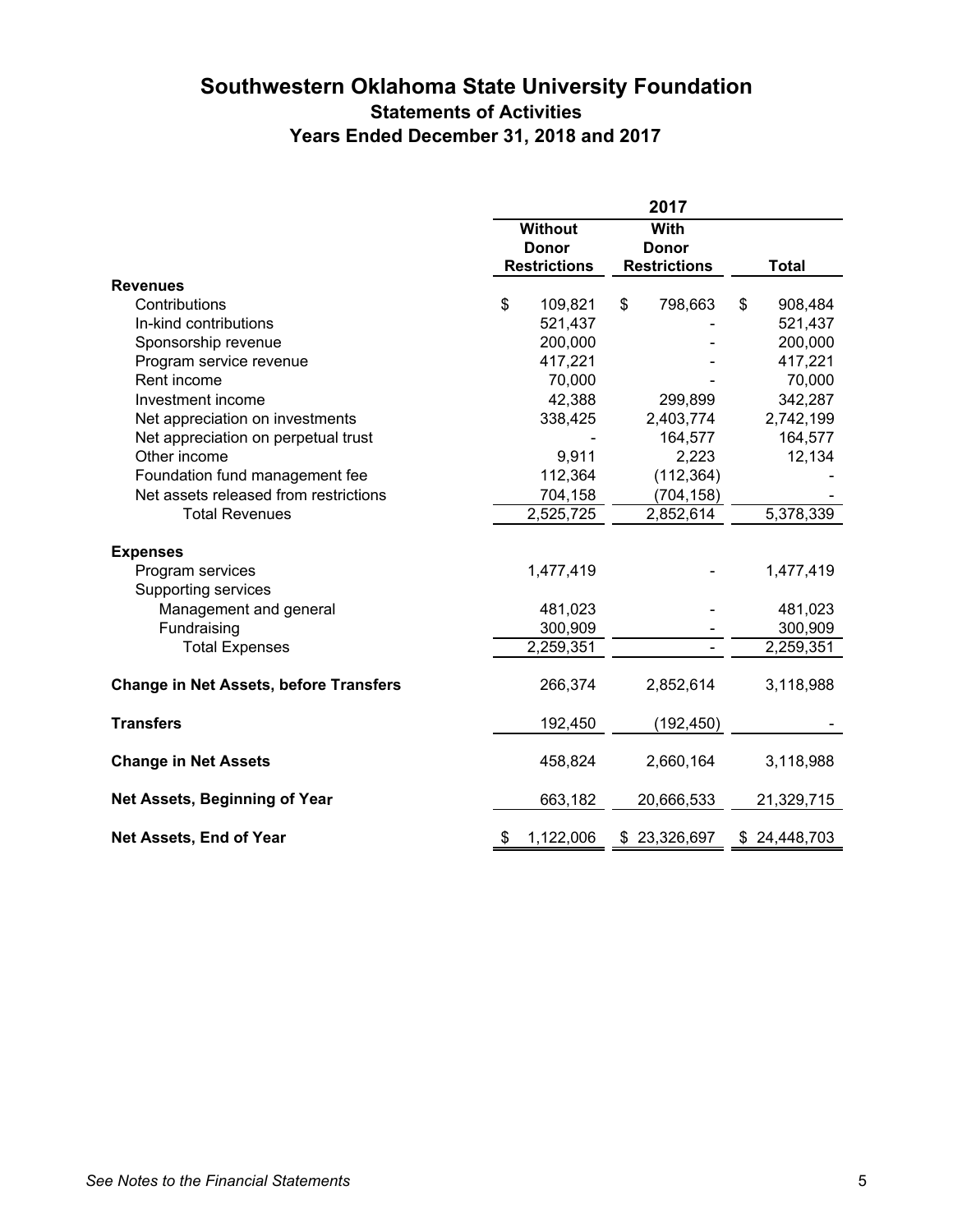# **Southwestern Oklahoma State University Foundation Statements of Activities Years Ended December 31, 2018 and 2017**

|                                               | 2017 |                                |    |                      |    |              |
|-----------------------------------------------|------|--------------------------------|----|----------------------|----|--------------|
|                                               |      | <b>Without</b><br><b>Donor</b> |    | With<br><b>Donor</b> |    |              |
|                                               |      | <b>Restrictions</b>            |    | <b>Restrictions</b>  |    | <b>Total</b> |
| <b>Revenues</b>                               |      |                                |    |                      |    |              |
| Contributions                                 | \$   | 109,821                        | \$ | 798,663              | \$ | 908,484      |
| In-kind contributions                         |      | 521,437                        |    |                      |    | 521,437      |
| Sponsorship revenue                           |      | 200,000                        |    |                      |    | 200,000      |
| Program service revenue                       |      | 417,221                        |    |                      |    | 417,221      |
| Rent income                                   |      | 70,000                         |    |                      |    | 70,000       |
| Investment income                             |      | 42,388                         |    | 299,899              |    | 342,287      |
| Net appreciation on investments               |      | 338,425                        |    | 2,403,774            |    | 2,742,199    |
| Net appreciation on perpetual trust           |      |                                |    | 164,577              |    | 164,577      |
| Other income                                  |      | 9,911                          |    | 2,223                |    | 12,134       |
| Foundation fund management fee                |      | 112,364                        |    | (112, 364)           |    |              |
| Net assets released from restrictions         |      | 704,158                        |    | (704, 158)           |    |              |
| <b>Total Revenues</b>                         |      | 2,525,725                      |    | 2,852,614            |    | 5,378,339    |
|                                               |      |                                |    |                      |    |              |
| <b>Expenses</b>                               |      |                                |    |                      |    |              |
| Program services                              |      | 1,477,419                      |    |                      |    | 1,477,419    |
| Supporting services                           |      |                                |    |                      |    |              |
| Management and general                        |      | 481,023                        |    |                      |    | 481,023      |
| Fundraising                                   |      | 300,909                        |    |                      |    | 300,909      |
| <b>Total Expenses</b>                         |      | 2,259,351                      |    |                      |    | 2,259,351    |
| <b>Change in Net Assets, before Transfers</b> |      | 266,374                        |    | 2,852,614            |    | 3,118,988    |
| <b>Transfers</b>                              |      | 192,450                        |    | (192, 450)           |    |              |
| <b>Change in Net Assets</b>                   |      | 458,824                        |    | 2,660,164            |    | 3,118,988    |
| Net Assets, Beginning of Year                 |      | 663,182                        |    | 20,666,533           |    | 21,329,715   |
| Net Assets, End of Year                       | \$   | 1,122,006                      |    | \$23,326,697         |    | \$24,448,703 |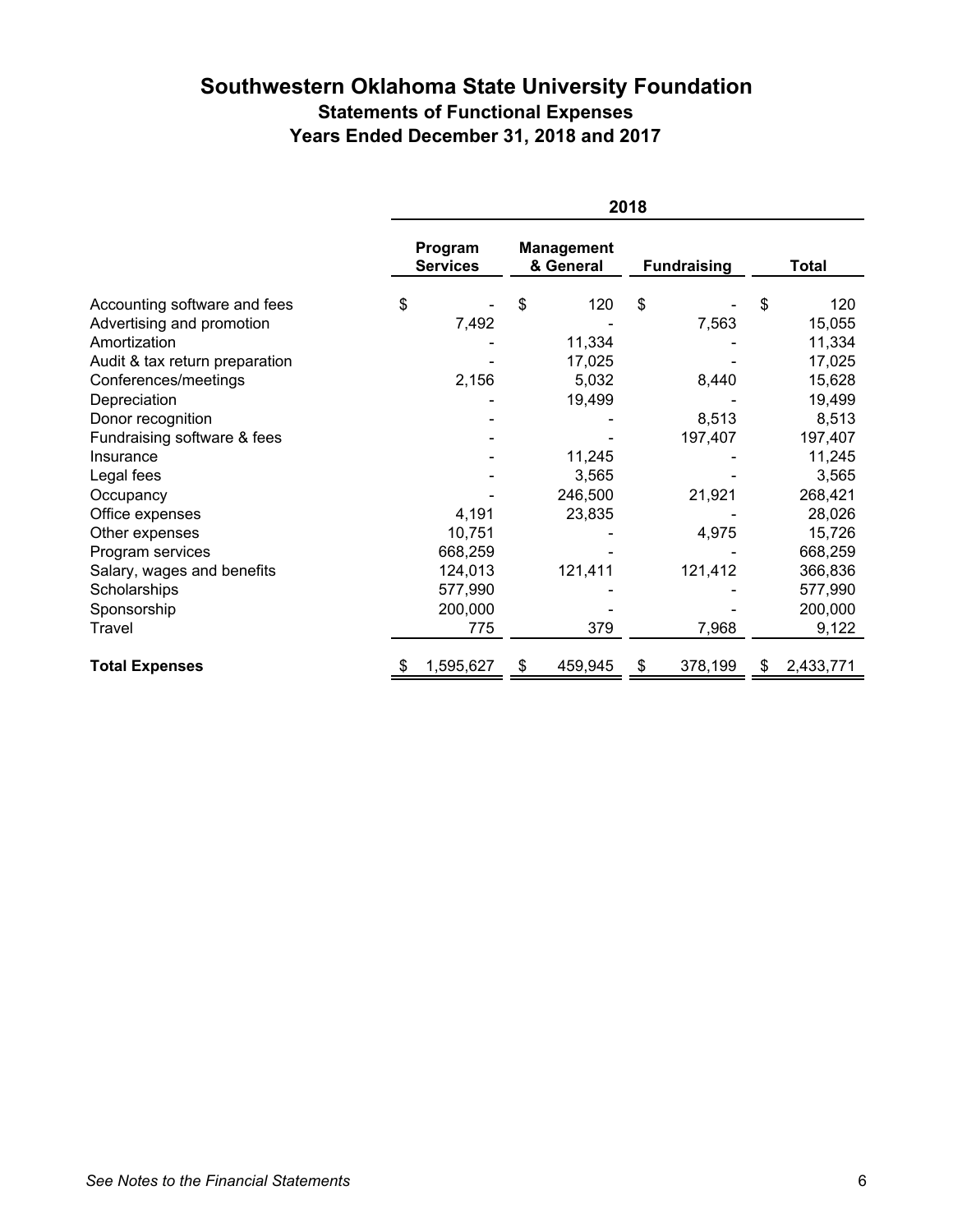# **Southwestern Oklahoma State University Foundation Statements of Functional Expenses Years Ended December 31, 2018 and 2017**

|                                | 2018                       |                                |                    |                 |  |  |  |
|--------------------------------|----------------------------|--------------------------------|--------------------|-----------------|--|--|--|
|                                | Program<br><b>Services</b> | <b>Management</b><br>& General | <b>Fundraising</b> | <b>Total</b>    |  |  |  |
| Accounting software and fees   | \$                         | \$<br>120                      | \$                 | \$<br>120       |  |  |  |
| Advertising and promotion      | 7,492                      |                                | 7,563              | 15,055          |  |  |  |
| Amortization                   |                            | 11,334                         |                    | 11,334          |  |  |  |
| Audit & tax return preparation |                            | 17,025                         |                    | 17,025          |  |  |  |
| Conferences/meetings           | 2,156                      | 5,032                          | 8,440              | 15,628          |  |  |  |
| Depreciation                   |                            | 19,499                         |                    | 19,499          |  |  |  |
| Donor recognition              |                            |                                | 8,513              | 8,513           |  |  |  |
| Fundraising software & fees    |                            |                                | 197,407            | 197,407         |  |  |  |
| Insurance                      |                            | 11,245                         |                    | 11,245          |  |  |  |
| Legal fees                     |                            | 3,565                          |                    | 3,565           |  |  |  |
| Occupancy                      |                            | 246,500                        | 21,921             | 268,421         |  |  |  |
| Office expenses                | 4,191                      | 23,835                         |                    | 28,026          |  |  |  |
| Other expenses                 | 10,751                     |                                | 4,975              | 15,726          |  |  |  |
| Program services               | 668,259                    |                                |                    | 668,259         |  |  |  |
| Salary, wages and benefits     | 124,013                    | 121,411                        | 121,412            | 366,836         |  |  |  |
| Scholarships                   | 577,990                    |                                |                    | 577,990         |  |  |  |
| Sponsorship                    | 200,000                    |                                |                    | 200,000         |  |  |  |
| Travel                         | 775                        | 379                            | 7,968              | 9,122           |  |  |  |
| <b>Total Expenses</b>          | 1,595,627<br>\$            | 459,945<br>\$                  | 378,199<br>\$      | 2,433,771<br>\$ |  |  |  |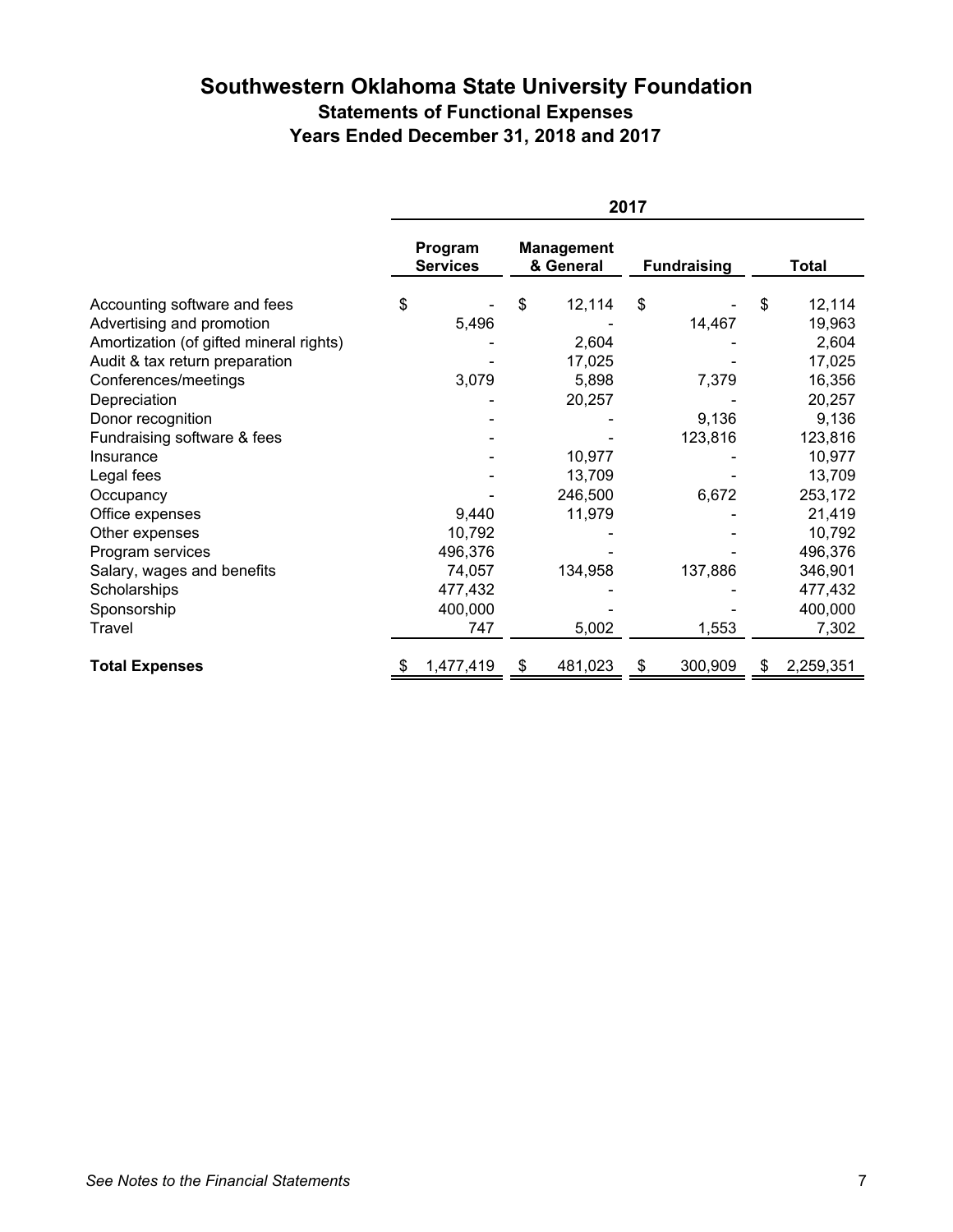# **Southwestern Oklahoma State University Foundation Statements of Functional Expenses Years Ended December 31, 2018 and 2017**

|                                         | 2017                       |           |    |                                |    |                    |   |              |
|-----------------------------------------|----------------------------|-----------|----|--------------------------------|----|--------------------|---|--------------|
|                                         | Program<br><b>Services</b> |           |    | <b>Management</b><br>& General |    | <b>Fundraising</b> |   | <b>Total</b> |
| Accounting software and fees            | \$                         |           | \$ | 12,114                         | \$ |                    | S | 12,114       |
| Advertising and promotion               |                            | 5,496     |    |                                |    | 14,467             |   | 19,963       |
| Amortization (of gifted mineral rights) |                            |           |    | 2,604                          |    |                    |   | 2,604        |
| Audit & tax return preparation          |                            |           |    | 17,025                         |    |                    |   | 17,025       |
| Conferences/meetings                    |                            | 3,079     |    | 5,898                          |    | 7,379              |   | 16,356       |
| Depreciation                            |                            |           |    | 20,257                         |    |                    |   | 20,257       |
| Donor recognition                       |                            |           |    |                                |    | 9,136              |   | 9,136        |
| Fundraising software & fees             |                            |           |    |                                |    | 123,816            |   | 123,816      |
| Insurance                               |                            |           |    | 10,977                         |    |                    |   | 10,977       |
| Legal fees                              |                            |           |    | 13,709                         |    |                    |   | 13,709       |
| Occupancy                               |                            |           |    | 246,500                        |    | 6,672              |   | 253,172      |
| Office expenses                         |                            | 9,440     |    | 11,979                         |    |                    |   | 21,419       |
| Other expenses                          |                            | 10,792    |    |                                |    |                    |   | 10,792       |
| Program services                        |                            | 496,376   |    |                                |    |                    |   | 496,376      |
| Salary, wages and benefits              |                            | 74,057    |    | 134,958                        |    | 137,886            |   | 346,901      |
| Scholarships                            |                            | 477,432   |    |                                |    |                    |   | 477,432      |
| Sponsorship                             |                            | 400,000   |    |                                |    |                    |   | 400,000      |
| Travel                                  |                            | 747       |    | 5,002                          |    | 1,553              |   | 7,302        |
| <b>Total Expenses</b>                   | \$                         | 1,477,419 |    | 481,023                        |    | 300,909            |   | 2,259,351    |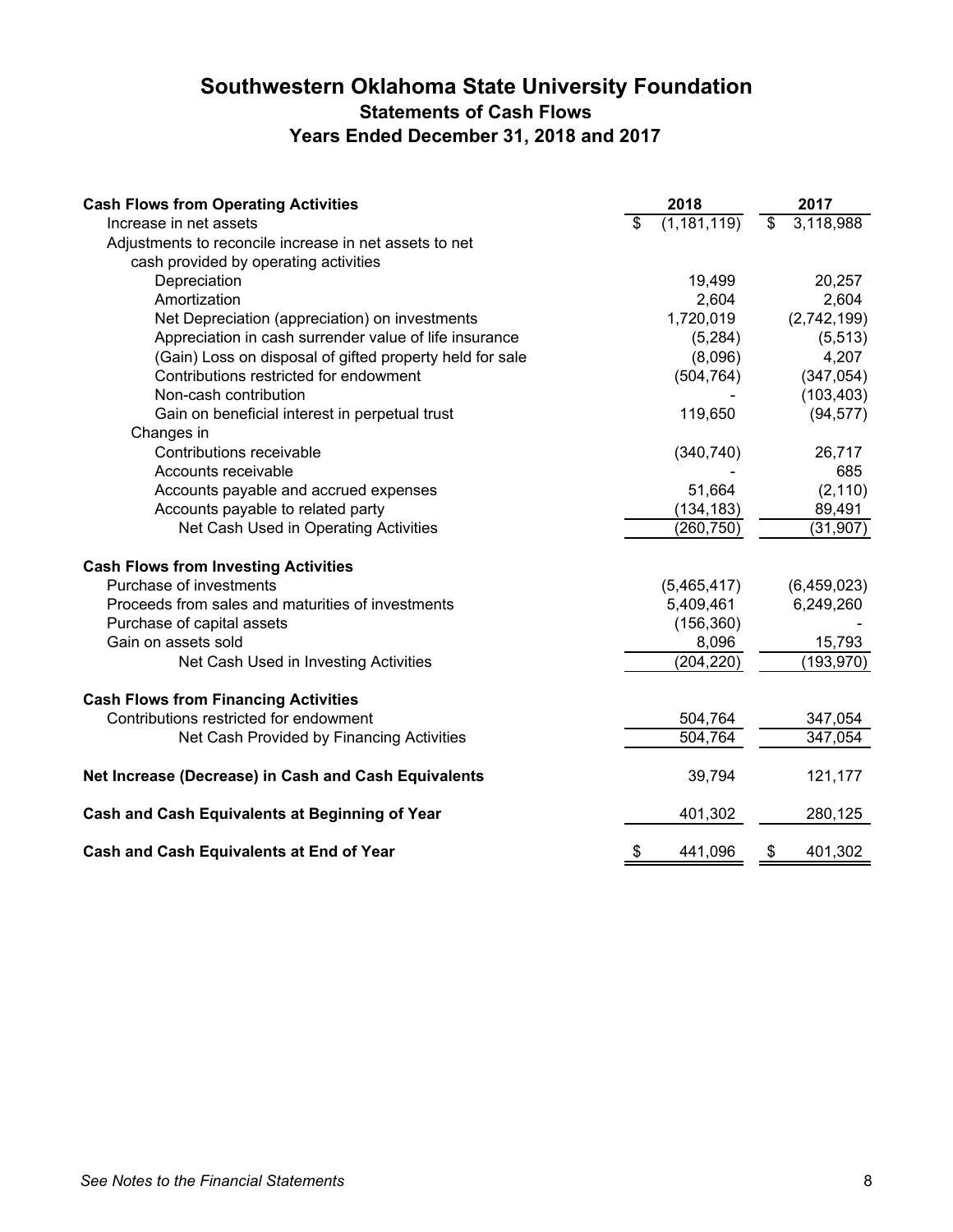# **Southwestern Oklahoma State University Foundation Statements of Cash Flows Years Ended December 31, 2018 and 2017**

| <b>Cash Flows from Operating Activities</b>              | 2018                | 2017            |
|----------------------------------------------------------|---------------------|-----------------|
| Increase in net assets                                   | \$<br>(1, 181, 119) | \$<br>3,118,988 |
| Adjustments to reconcile increase in net assets to net   |                     |                 |
| cash provided by operating activities                    |                     |                 |
| Depreciation                                             | 19,499              | 20,257          |
| Amortization                                             | 2,604               | 2,604           |
| Net Depreciation (appreciation) on investments           | 1,720,019           | (2,742,199)     |
| Appreciation in cash surrender value of life insurance   | (5,284)             | (5, 513)        |
| (Gain) Loss on disposal of gifted property held for sale | (8,096)             | 4,207           |
| Contributions restricted for endowment                   | (504, 764)          | (347, 054)      |
| Non-cash contribution                                    |                     | (103, 403)      |
| Gain on beneficial interest in perpetual trust           | 119,650             | (94, 577)       |
| Changes in                                               |                     |                 |
| Contributions receivable                                 | (340, 740)          | 26,717          |
| Accounts receivable                                      |                     | 685             |
| Accounts payable and accrued expenses                    | 51,664              | (2, 110)        |
| Accounts payable to related party                        | (134, 183)          | 89,491          |
| Net Cash Used in Operating Activities                    | (260, 750)          | (31, 907)       |
| <b>Cash Flows from Investing Activities</b>              |                     |                 |
| Purchase of investments                                  | (5,465,417)         | (6,459,023)     |
| Proceeds from sales and maturities of investments        | 5,409,461           | 6,249,260       |
| Purchase of capital assets                               | (156, 360)          |                 |
| Gain on assets sold                                      | 8,096               | 15,793          |
| Net Cash Used in Investing Activities                    | (204, 220)          | (193,970)       |
| <b>Cash Flows from Financing Activities</b>              |                     |                 |
| Contributions restricted for endowment                   | 504,764             | 347,054         |
| Net Cash Provided by Financing Activities                | 504,764             | 347,054         |
| Net Increase (Decrease) in Cash and Cash Equivalents     | 39,794              | 121,177         |
| Cash and Cash Equivalents at Beginning of Year           | 401,302             | 280,125         |
| Cash and Cash Equivalents at End of Year                 | \$<br>441,096       | \$<br>401,302   |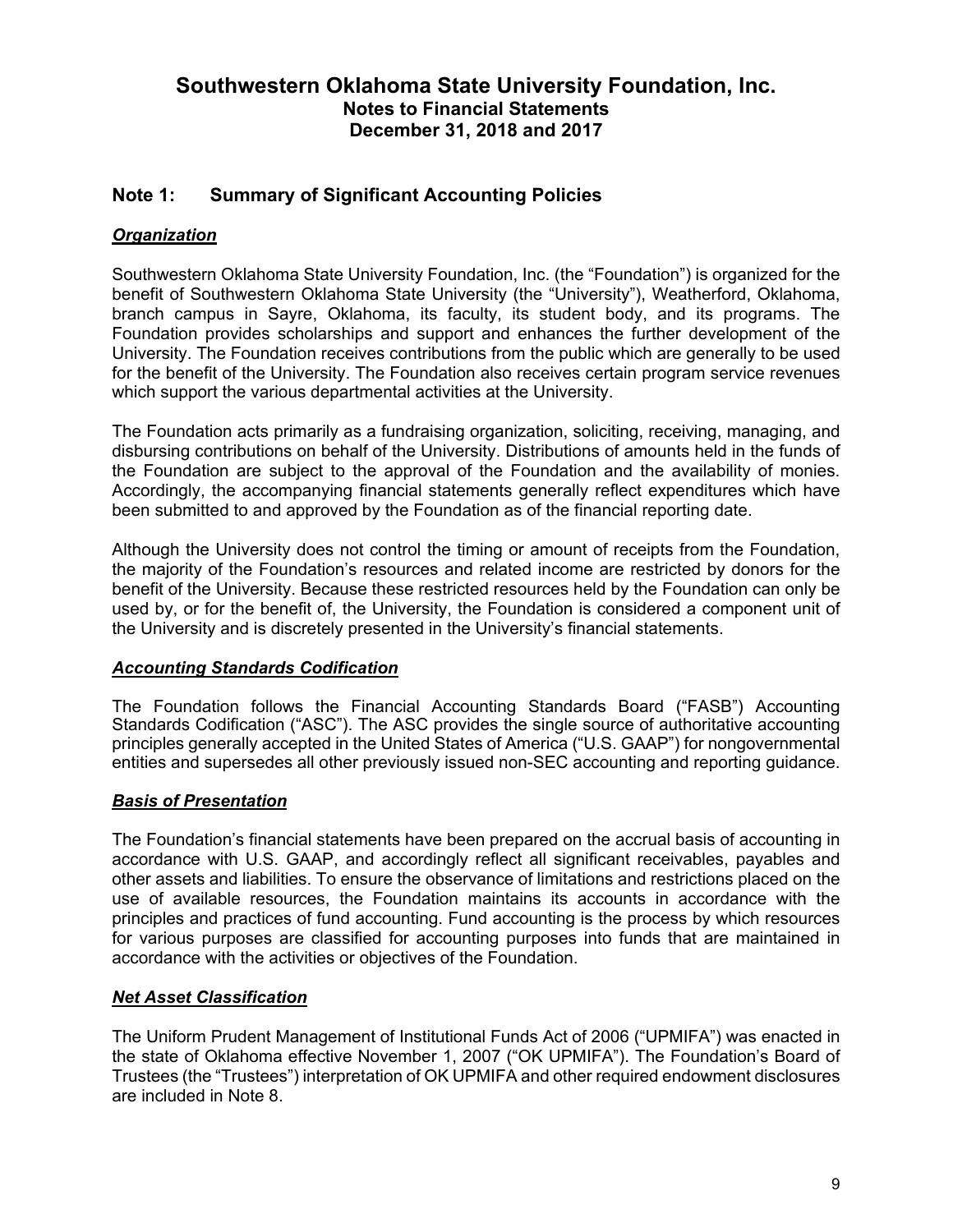# **Note 1: Summary of Significant Accounting Policies**

# *Organization*

Southwestern Oklahoma State University Foundation, Inc. (the "Foundation") is organized for the benefit of Southwestern Oklahoma State University (the "University"), Weatherford, Oklahoma, branch campus in Sayre, Oklahoma, its faculty, its student body, and its programs. The Foundation provides scholarships and support and enhances the further development of the University. The Foundation receives contributions from the public which are generally to be used for the benefit of the University. The Foundation also receives certain program service revenues which support the various departmental activities at the University.

The Foundation acts primarily as a fundraising organization, soliciting, receiving, managing, and disbursing contributions on behalf of the University. Distributions of amounts held in the funds of the Foundation are subject to the approval of the Foundation and the availability of monies. Accordingly, the accompanying financial statements generally reflect expenditures which have been submitted to and approved by the Foundation as of the financial reporting date.

Although the University does not control the timing or amount of receipts from the Foundation, the majority of the Foundation's resources and related income are restricted by donors for the benefit of the University. Because these restricted resources held by the Foundation can only be used by, or for the benefit of, the University, the Foundation is considered a component unit of the University and is discretely presented in the University's financial statements.

### *Accounting Standards Codification*

The Foundation follows the Financial Accounting Standards Board ("FASB") Accounting Standards Codification ("ASC"). The ASC provides the single source of authoritative accounting principles generally accepted in the United States of America ("U.S. GAAP") for nongovernmental entities and supersedes all other previously issued non-SEC accounting and reporting guidance.

### *Basis of Presentation*

The Foundation's financial statements have been prepared on the accrual basis of accounting in accordance with U.S. GAAP, and accordingly reflect all significant receivables, payables and other assets and liabilities. To ensure the observance of limitations and restrictions placed on the use of available resources, the Foundation maintains its accounts in accordance with the principles and practices of fund accounting. Fund accounting is the process by which resources for various purposes are classified for accounting purposes into funds that are maintained in accordance with the activities or objectives of the Foundation.

### *Net Asset Classification*

The Uniform Prudent Management of Institutional Funds Act of 2006 ("UPMIFA") was enacted in the state of Oklahoma effective November 1, 2007 ("OK UPMIFA"). The Foundation's Board of Trustees (the "Trustees") interpretation of OK UPMIFA and other required endowment disclosures are included in Note 8.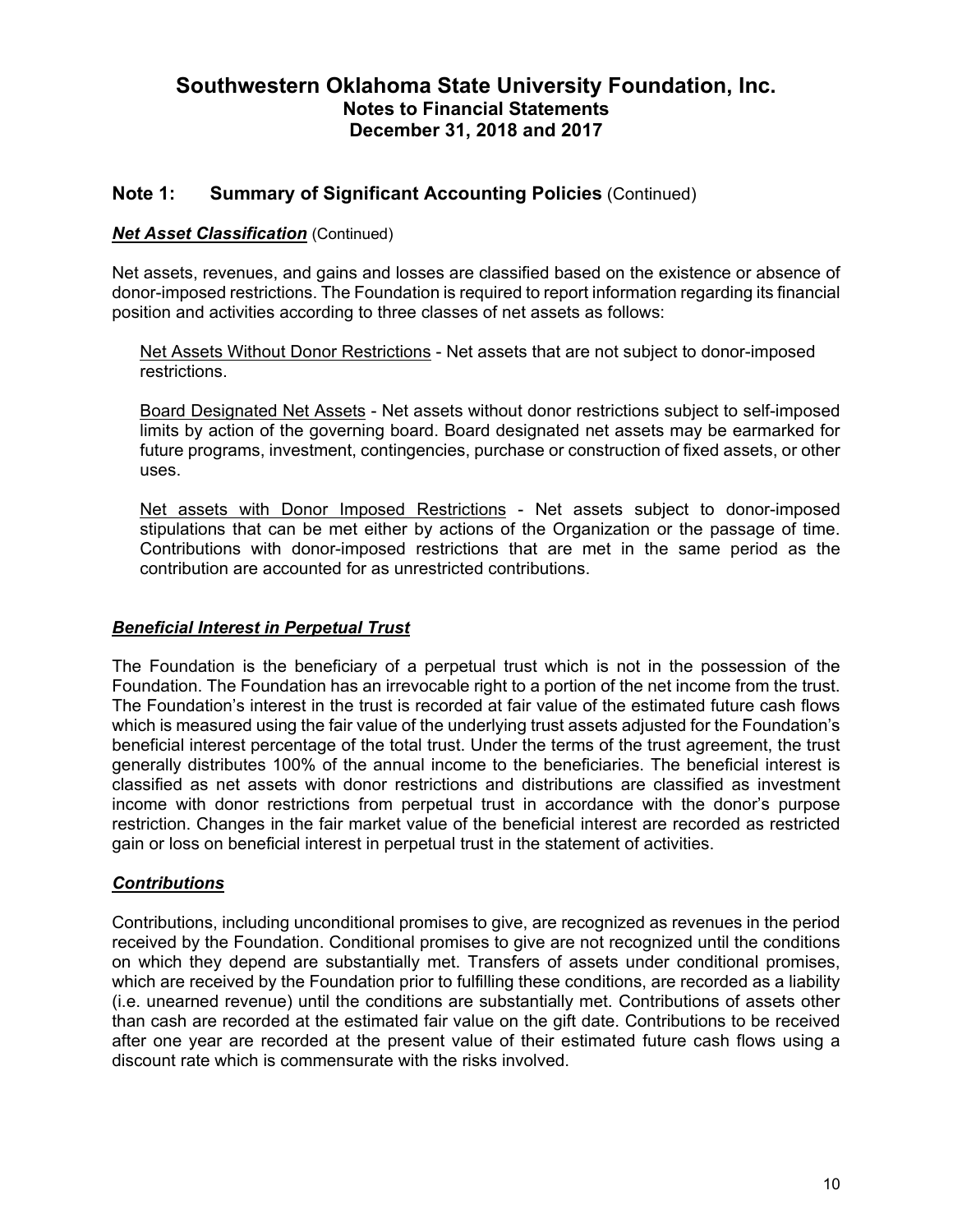### **Note 1: Summary of Significant Accounting Policies** (Continued)

#### *Net Asset Classification* (Continued)

Net assets, revenues, and gains and losses are classified based on the existence or absence of donor-imposed restrictions. The Foundation is required to report information regarding its financial position and activities according to three classes of net assets as follows:

Net Assets Without Donor Restrictions - Net assets that are not subject to donor-imposed restrictions.

Board Designated Net Assets - Net assets without donor restrictions subject to self-imposed limits by action of the governing board. Board designated net assets may be earmarked for future programs, investment, contingencies, purchase or construction of fixed assets, or other uses.

Net assets with Donor Imposed Restrictions - Net assets subject to donor-imposed stipulations that can be met either by actions of the Organization or the passage of time. Contributions with donor-imposed restrictions that are met in the same period as the contribution are accounted for as unrestricted contributions.

#### *Beneficial Interest in Perpetual Trust*

The Foundation is the beneficiary of a perpetual trust which is not in the possession of the Foundation. The Foundation has an irrevocable right to a portion of the net income from the trust. The Foundation's interest in the trust is recorded at fair value of the estimated future cash flows which is measured using the fair value of the underlying trust assets adjusted for the Foundation's beneficial interest percentage of the total trust. Under the terms of the trust agreement, the trust generally distributes 100% of the annual income to the beneficiaries. The beneficial interest is classified as net assets with donor restrictions and distributions are classified as investment income with donor restrictions from perpetual trust in accordance with the donor's purpose restriction. Changes in the fair market value of the beneficial interest are recorded as restricted gain or loss on beneficial interest in perpetual trust in the statement of activities.

#### *Contributions*

Contributions, including unconditional promises to give, are recognized as revenues in the period received by the Foundation. Conditional promises to give are not recognized until the conditions on which they depend are substantially met. Transfers of assets under conditional promises, which are received by the Foundation prior to fulfilling these conditions, are recorded as a liability (i.e. unearned revenue) until the conditions are substantially met. Contributions of assets other than cash are recorded at the estimated fair value on the gift date. Contributions to be received after one year are recorded at the present value of their estimated future cash flows using a discount rate which is commensurate with the risks involved.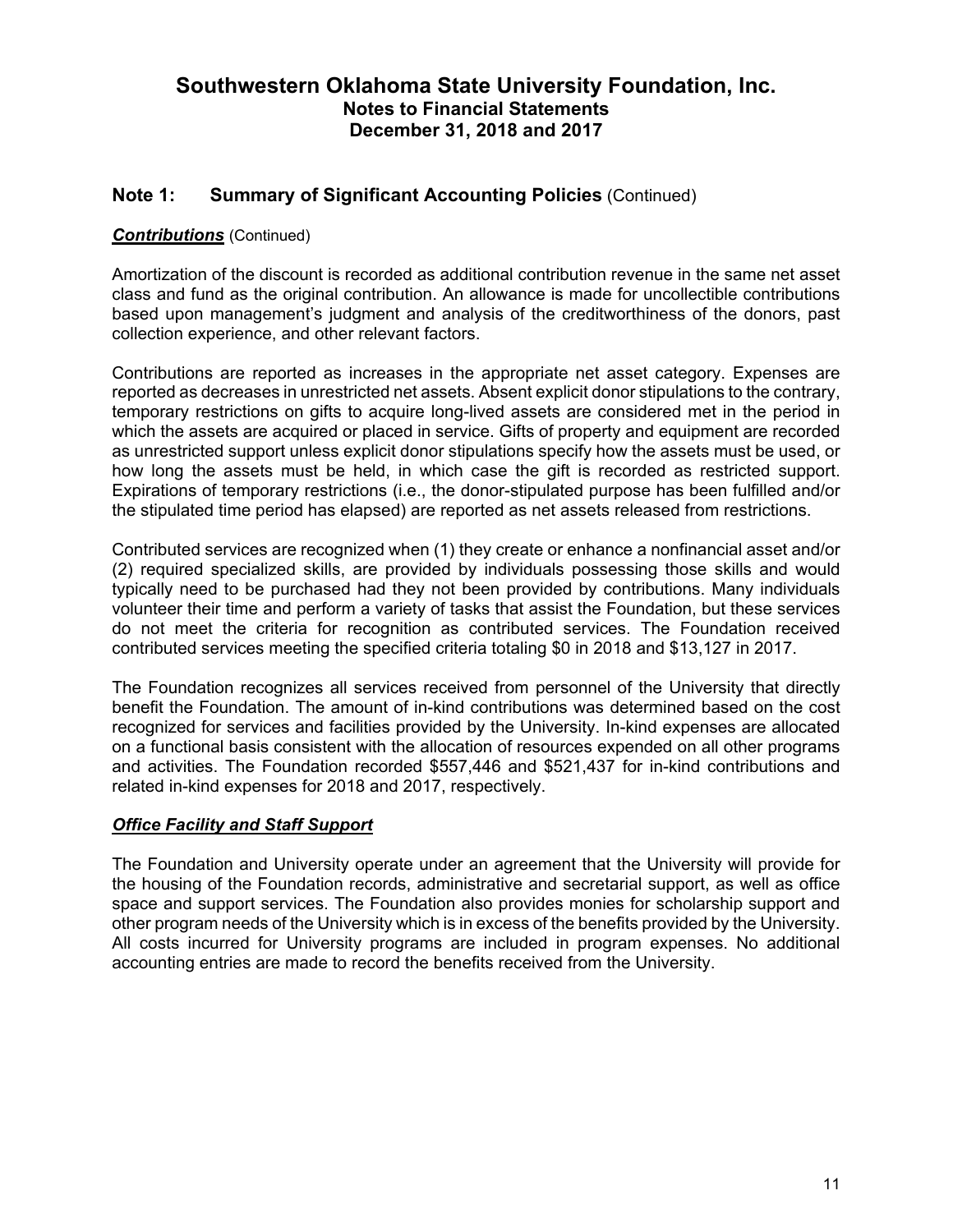### **Note 1: Summary of Significant Accounting Policies** (Continued)

### *Contributions* (Continued)

Amortization of the discount is recorded as additional contribution revenue in the same net asset class and fund as the original contribution. An allowance is made for uncollectible contributions based upon management's judgment and analysis of the creditworthiness of the donors, past collection experience, and other relevant factors.

Contributions are reported as increases in the appropriate net asset category. Expenses are reported as decreases in unrestricted net assets. Absent explicit donor stipulations to the contrary, temporary restrictions on gifts to acquire long-lived assets are considered met in the period in which the assets are acquired or placed in service. Gifts of property and equipment are recorded as unrestricted support unless explicit donor stipulations specify how the assets must be used, or how long the assets must be held, in which case the gift is recorded as restricted support. Expirations of temporary restrictions (i.e., the donor-stipulated purpose has been fulfilled and/or the stipulated time period has elapsed) are reported as net assets released from restrictions.

Contributed services are recognized when (1) they create or enhance a nonfinancial asset and/or (2) required specialized skills, are provided by individuals possessing those skills and would typically need to be purchased had they not been provided by contributions. Many individuals volunteer their time and perform a variety of tasks that assist the Foundation, but these services do not meet the criteria for recognition as contributed services. The Foundation received contributed services meeting the specified criteria totaling \$0 in 2018 and \$13,127 in 2017.

The Foundation recognizes all services received from personnel of the University that directly benefit the Foundation. The amount of in-kind contributions was determined based on the cost recognized for services and facilities provided by the University. In-kind expenses are allocated on a functional basis consistent with the allocation of resources expended on all other programs and activities. The Foundation recorded \$557,446 and \$521,437 for in-kind contributions and related in-kind expenses for 2018 and 2017, respectively.

#### *Office Facility and Staff Support*

The Foundation and University operate under an agreement that the University will provide for the housing of the Foundation records, administrative and secretarial support, as well as office space and support services. The Foundation also provides monies for scholarship support and other program needs of the University which is in excess of the benefits provided by the University. All costs incurred for University programs are included in program expenses. No additional accounting entries are made to record the benefits received from the University.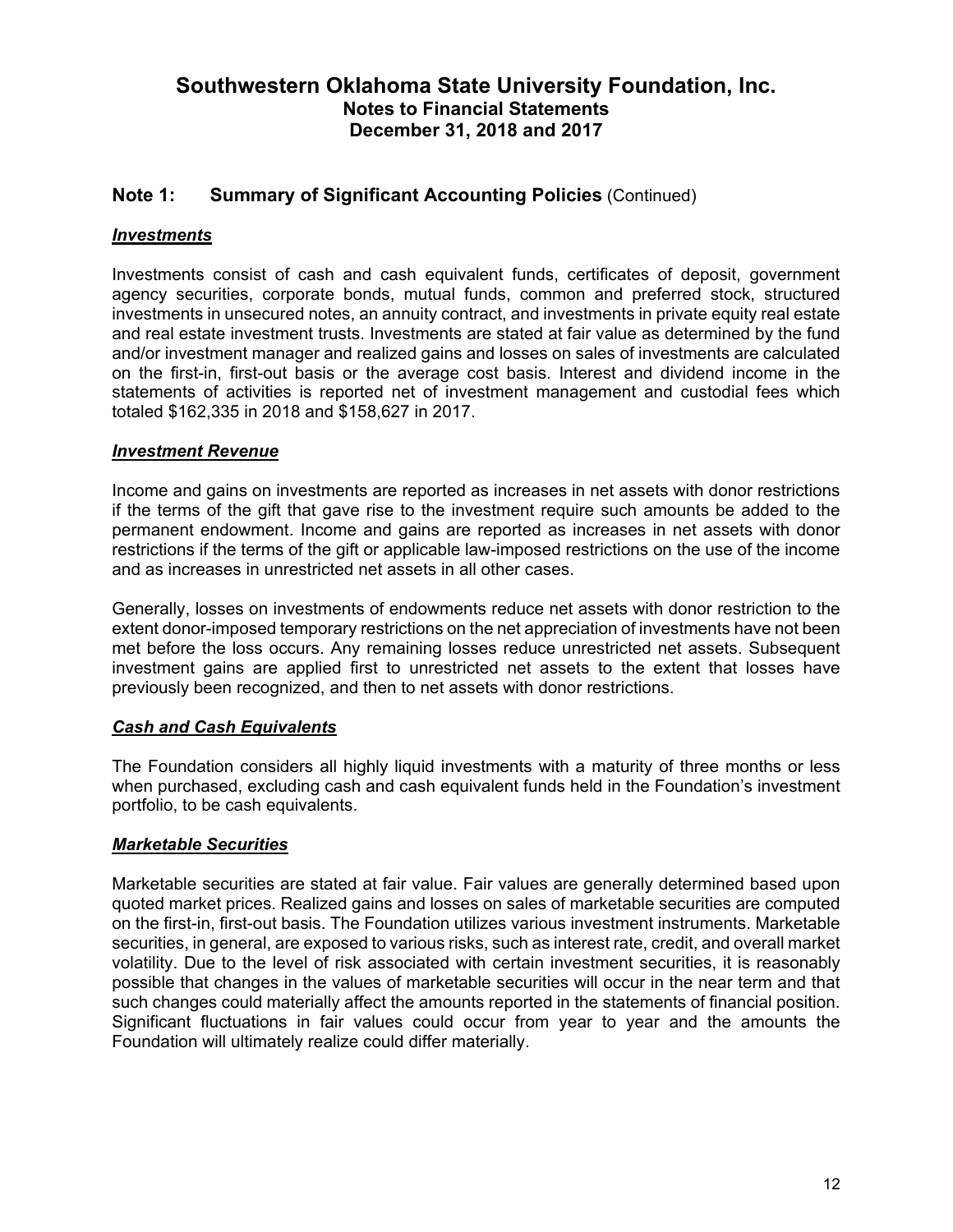### **Note 1: Summary of Significant Accounting Policies** (Continued)

### *Investments*

Investments consist of cash and cash equivalent funds, certificates of deposit, government agency securities, corporate bonds, mutual funds, common and preferred stock, structured investments in unsecured notes, an annuity contract, and investments in private equity real estate and real estate investment trusts. Investments are stated at fair value as determined by the fund and/or investment manager and realized gains and losses on sales of investments are calculated on the first-in, first-out basis or the average cost basis. Interest and dividend income in the statements of activities is reported net of investment management and custodial fees which totaled \$162,335 in 2018 and \$158,627 in 2017.

#### *Investment Revenue*

Income and gains on investments are reported as increases in net assets with donor restrictions if the terms of the gift that gave rise to the investment require such amounts be added to the permanent endowment. Income and gains are reported as increases in net assets with donor restrictions if the terms of the gift or applicable law-imposed restrictions on the use of the income and as increases in unrestricted net assets in all other cases.

Generally, losses on investments of endowments reduce net assets with donor restriction to the extent donor-imposed temporary restrictions on the net appreciation of investments have not been met before the loss occurs. Any remaining losses reduce unrestricted net assets. Subsequent investment gains are applied first to unrestricted net assets to the extent that losses have previously been recognized, and then to net assets with donor restrictions.

#### *Cash and Cash Equivalents*

The Foundation considers all highly liquid investments with a maturity of three months or less when purchased, excluding cash and cash equivalent funds held in the Foundation's investment portfolio, to be cash equivalents.

#### *Marketable Securities*

Marketable securities are stated at fair value. Fair values are generally determined based upon quoted market prices. Realized gains and losses on sales of marketable securities are computed on the first-in, first-out basis. The Foundation utilizes various investment instruments. Marketable securities, in general, are exposed to various risks, such as interest rate, credit, and overall market volatility. Due to the level of risk associated with certain investment securities, it is reasonably possible that changes in the values of marketable securities will occur in the near term and that such changes could materially affect the amounts reported in the statements of financial position. Significant fluctuations in fair values could occur from year to year and the amounts the Foundation will ultimately realize could differ materially.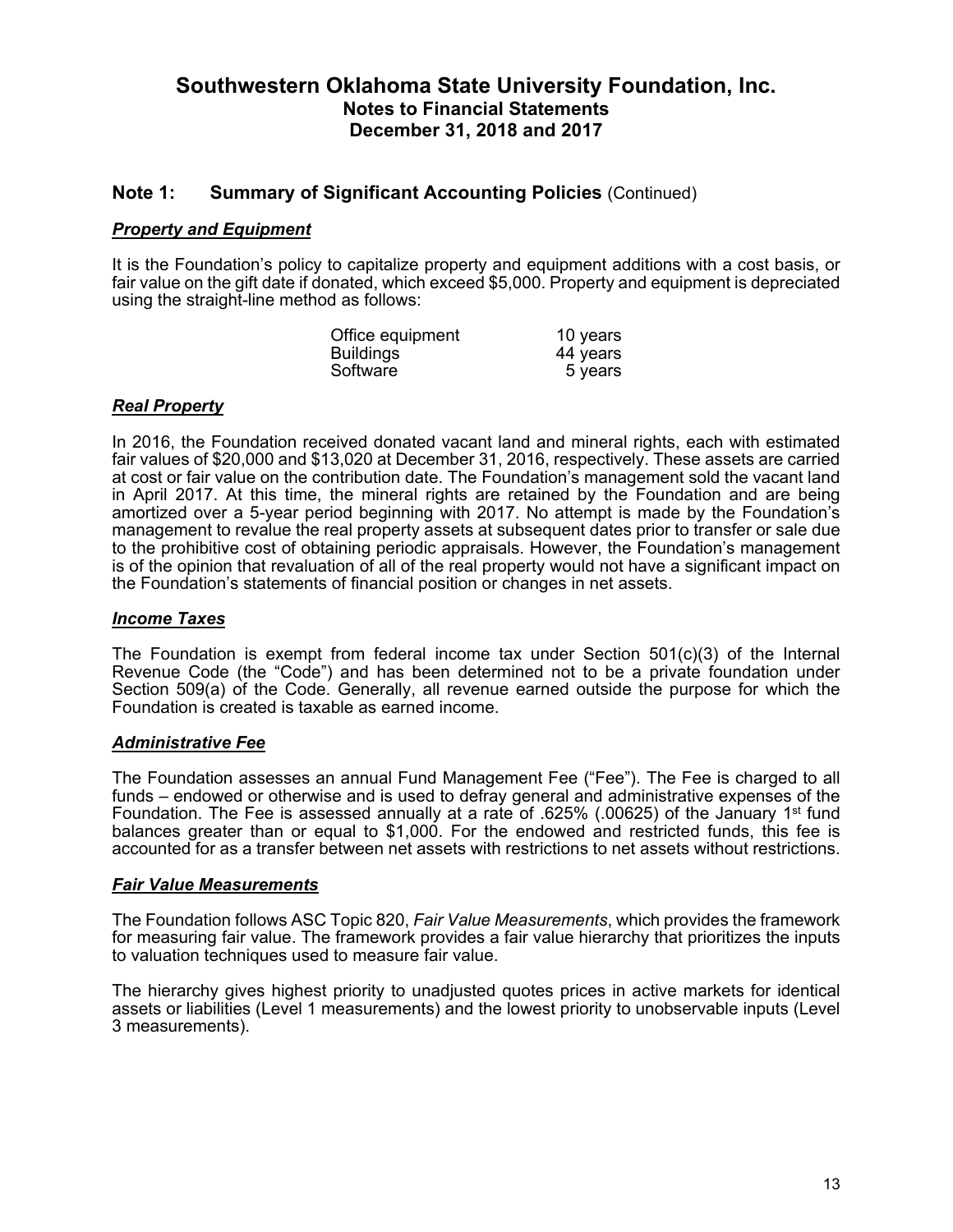### **Note 1: Summary of Significant Accounting Policies** (Continued)

#### *Property and Equipment*

It is the Foundation's policy to capitalize property and equipment additions with a cost basis, or fair value on the gift date if donated, which exceed \$5,000. Property and equipment is depreciated using the straight-line method as follows:

| Office equipment | 10 years |
|------------------|----------|
| <b>Buildings</b> | 44 years |
| Software         | 5 years  |

#### *Real Property*

In 2016, the Foundation received donated vacant land and mineral rights, each with estimated fair values of \$20,000 and \$13,020 at December 31, 2016, respectively. These assets are carried at cost or fair value on the contribution date. The Foundation's management sold the vacant land in April 2017. At this time, the mineral rights are retained by the Foundation and are being amortized over a 5-year period beginning with 2017. No attempt is made by the Foundation's management to revalue the real property assets at subsequent dates prior to transfer or sale due to the prohibitive cost of obtaining periodic appraisals. However, the Foundation's management is of the opinion that revaluation of all of the real property would not have a significant impact on the Foundation's statements of financial position or changes in net assets.

#### *Income Taxes*

The Foundation is exempt from federal income tax under Section  $501(c)(3)$  of the Internal Revenue Code (the "Code") and has been determined not to be a private foundation under Section 509(a) of the Code. Generally, all revenue earned outside the purpose for which the Foundation is created is taxable as earned income.

#### *Administrative Fee*

The Foundation assesses an annual Fund Management Fee ("Fee"). The Fee is charged to all funds – endowed or otherwise and is used to defray general and administrative expenses of the Foundation. The Fee is assessed annually at a rate of .625% (.00625) of the January 1<sup>st</sup> fund balances greater than or equal to \$1,000. For the endowed and restricted funds, this fee is accounted for as a transfer between net assets with restrictions to net assets without restrictions.

#### *Fair Value Measurements*

The Foundation follows ASC Topic 820, *Fair Value Measurements*, which provides the framework for measuring fair value. The framework provides a fair value hierarchy that prioritizes the inputs to valuation techniques used to measure fair value.

The hierarchy gives highest priority to unadjusted quotes prices in active markets for identical assets or liabilities (Level 1 measurements) and the lowest priority to unobservable inputs (Level 3 measurements).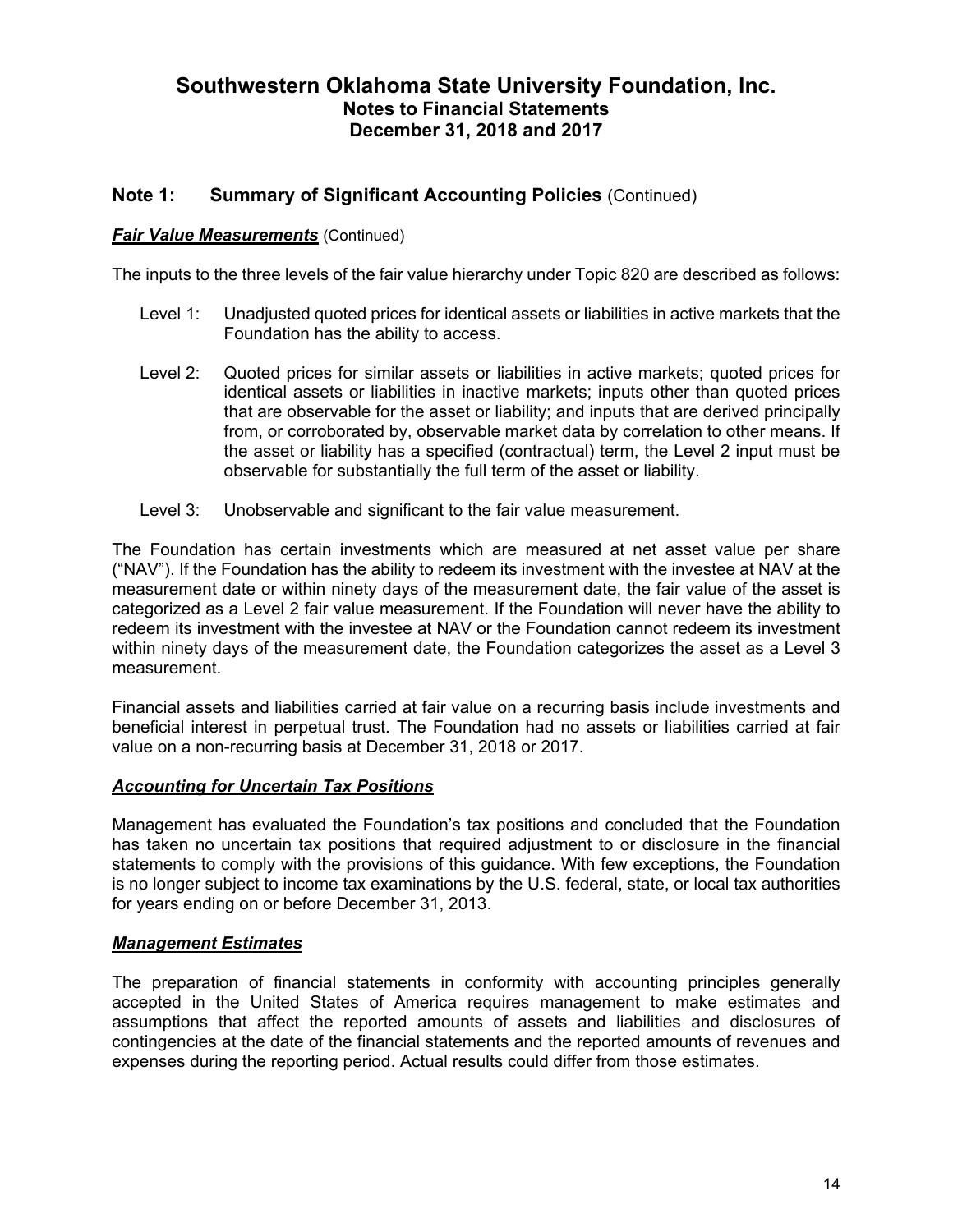### **Note 1: Summary of Significant Accounting Policies** (Continued)

#### *Fair Value Measurements* (Continued)

The inputs to the three levels of the fair value hierarchy under Topic 820 are described as follows:

- Level 1: Unadjusted quoted prices for identical assets or liabilities in active markets that the Foundation has the ability to access.
- Level 2: Quoted prices for similar assets or liabilities in active markets; quoted prices for identical assets or liabilities in inactive markets; inputs other than quoted prices that are observable for the asset or liability; and inputs that are derived principally from, or corroborated by, observable market data by correlation to other means. If the asset or liability has a specified (contractual) term, the Level 2 input must be observable for substantially the full term of the asset or liability.
- Level 3: Unobservable and significant to the fair value measurement.

The Foundation has certain investments which are measured at net asset value per share ("NAV"). If the Foundation has the ability to redeem its investment with the investee at NAV at the measurement date or within ninety days of the measurement date, the fair value of the asset is categorized as a Level 2 fair value measurement. If the Foundation will never have the ability to redeem its investment with the investee at NAV or the Foundation cannot redeem its investment within ninety days of the measurement date, the Foundation categorizes the asset as a Level 3 measurement.

Financial assets and liabilities carried at fair value on a recurring basis include investments and beneficial interest in perpetual trust. The Foundation had no assets or liabilities carried at fair value on a non-recurring basis at December 31, 2018 or 2017.

#### *Accounting for Uncertain Tax Positions*

Management has evaluated the Foundation's tax positions and concluded that the Foundation has taken no uncertain tax positions that required adjustment to or disclosure in the financial statements to comply with the provisions of this guidance. With few exceptions, the Foundation is no longer subject to income tax examinations by the U.S. federal, state, or local tax authorities for years ending on or before December 31, 2013.

#### *Management Estimates*

The preparation of financial statements in conformity with accounting principles generally accepted in the United States of America requires management to make estimates and assumptions that affect the reported amounts of assets and liabilities and disclosures of contingencies at the date of the financial statements and the reported amounts of revenues and expenses during the reporting period. Actual results could differ from those estimates.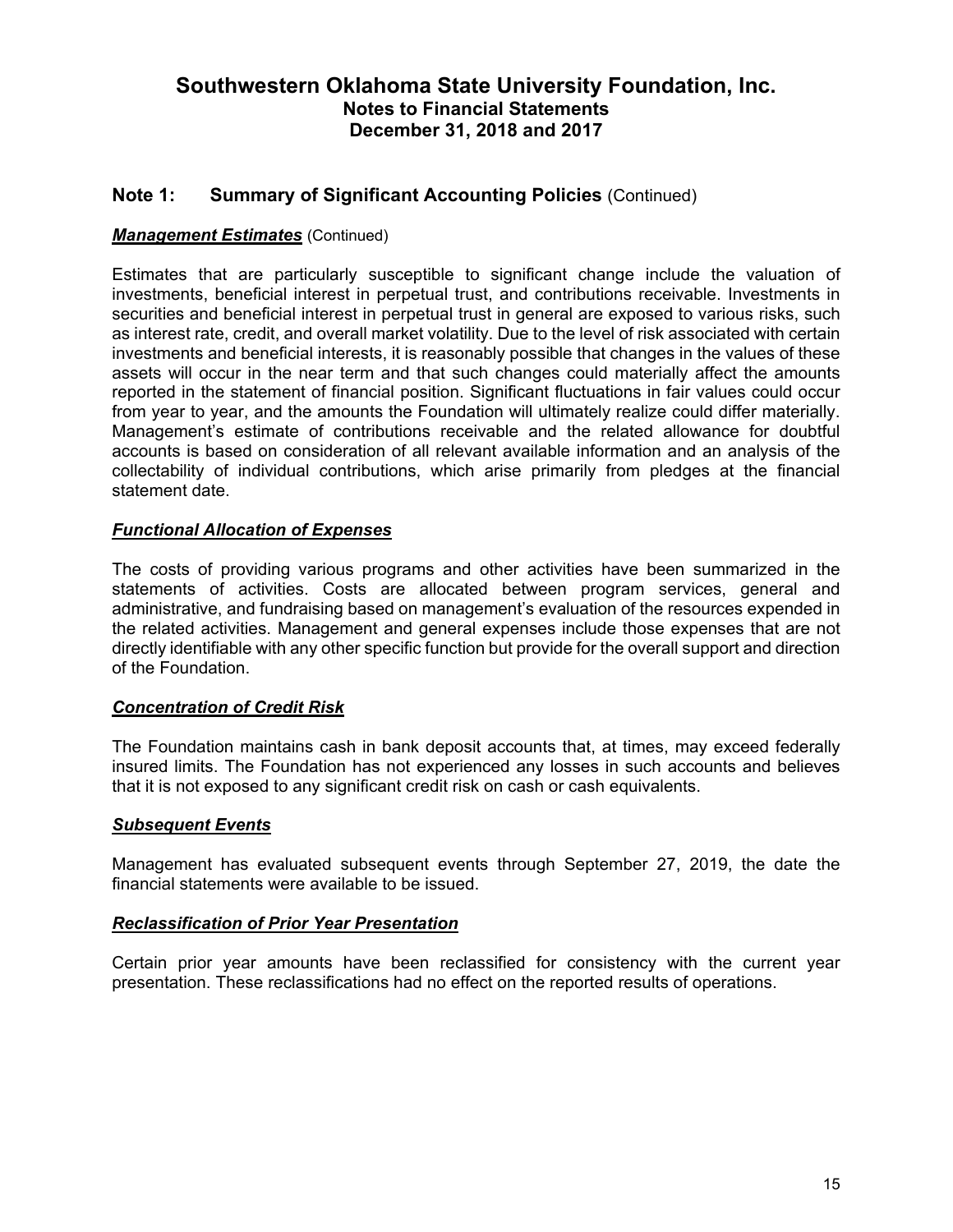### **Note 1: Summary of Significant Accounting Policies** (Continued)

### *Management Estimates* (Continued)

Estimates that are particularly susceptible to significant change include the valuation of investments, beneficial interest in perpetual trust, and contributions receivable. Investments in securities and beneficial interest in perpetual trust in general are exposed to various risks, such as interest rate, credit, and overall market volatility. Due to the level of risk associated with certain investments and beneficial interests, it is reasonably possible that changes in the values of these assets will occur in the near term and that such changes could materially affect the amounts reported in the statement of financial position. Significant fluctuations in fair values could occur from year to year, and the amounts the Foundation will ultimately realize could differ materially. Management's estimate of contributions receivable and the related allowance for doubtful accounts is based on consideration of all relevant available information and an analysis of the collectability of individual contributions, which arise primarily from pledges at the financial statement date.

### *Functional Allocation of Expenses*

The costs of providing various programs and other activities have been summarized in the statements of activities. Costs are allocated between program services, general and administrative, and fundraising based on management's evaluation of the resources expended in the related activities. Management and general expenses include those expenses that are not directly identifiable with any other specific function but provide for the overall support and direction of the Foundation.

#### *Concentration of Credit Risk*

The Foundation maintains cash in bank deposit accounts that, at times, may exceed federally insured limits. The Foundation has not experienced any losses in such accounts and believes that it is not exposed to any significant credit risk on cash or cash equivalents.

#### *Subsequent Events*

Management has evaluated subsequent events through September 27, 2019, the date the financial statements were available to be issued.

#### *Reclassification of Prior Year Presentation*

Certain prior year amounts have been reclassified for consistency with the current year presentation. These reclassifications had no effect on the reported results of operations.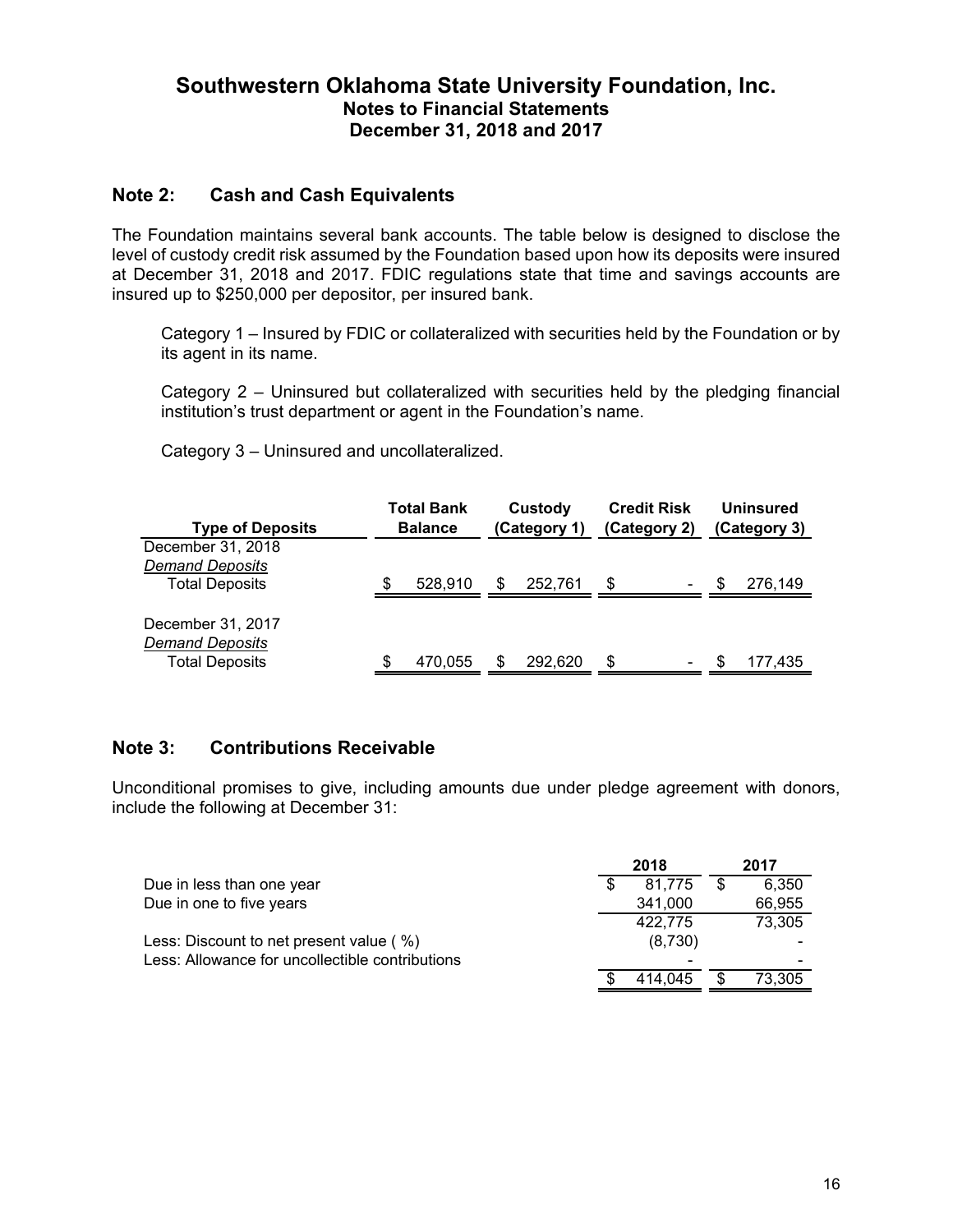### **Note 2: Cash and Cash Equivalents**

The Foundation maintains several bank accounts. The table below is designed to disclose the level of custody credit risk assumed by the Foundation based upon how its deposits were insured at December 31, 2018 and 2017. FDIC regulations state that time and savings accounts are insured up to \$250,000 per depositor, per insured bank.

Category 1 – Insured by FDIC or collateralized with securities held by the Foundation or by its agent in its name.

Category 2 – Uninsured but collateralized with securities held by the pledging financial institution's trust department or agent in the Foundation's name.

Category 3 – Uninsured and uncollateralized.

| <b>Type of Deposits</b> | Total Bank<br><b>Balance</b> |   | Custody<br>(Category 1) |    | <b>Credit Risk</b><br>(Category 2) |    | <b>Uninsured</b><br>(Category 3) |
|-------------------------|------------------------------|---|-------------------------|----|------------------------------------|----|----------------------------------|
| December 31, 2018       |                              |   |                         |    |                                    |    |                                  |
| <b>Demand Deposits</b>  |                              |   |                         |    |                                    |    |                                  |
| <b>Total Deposits</b>   | 528.910                      | S | 252.761                 | S  | ۰                                  | S  | 276.149                          |
|                         |                              |   |                         |    |                                    |    |                                  |
| December 31, 2017       |                              |   |                         |    |                                    |    |                                  |
| <b>Demand Deposits</b>  |                              |   |                         |    |                                    |    |                                  |
| <b>Total Deposits</b>   | 470.055                      | S | 292,620                 | \$ | ۰                                  | ß. | 177,435                          |

### **Note 3: Contributions Receivable**

Unconditional promises to give, including amounts due under pledge agreement with donors, include the following at December 31:

|                                                 | 2018    |    | 2017   |
|-------------------------------------------------|---------|----|--------|
| Due in less than one year                       | 81.775  | -S | 6,350  |
| Due in one to five years                        | 341,000 |    | 66,955 |
|                                                 | 422,775 |    | 73,305 |
| Less: Discount to net present value (%)         | (8,730) |    |        |
| Less: Allowance for uncollectible contributions |         |    |        |
|                                                 | 414.045 |    | 73,305 |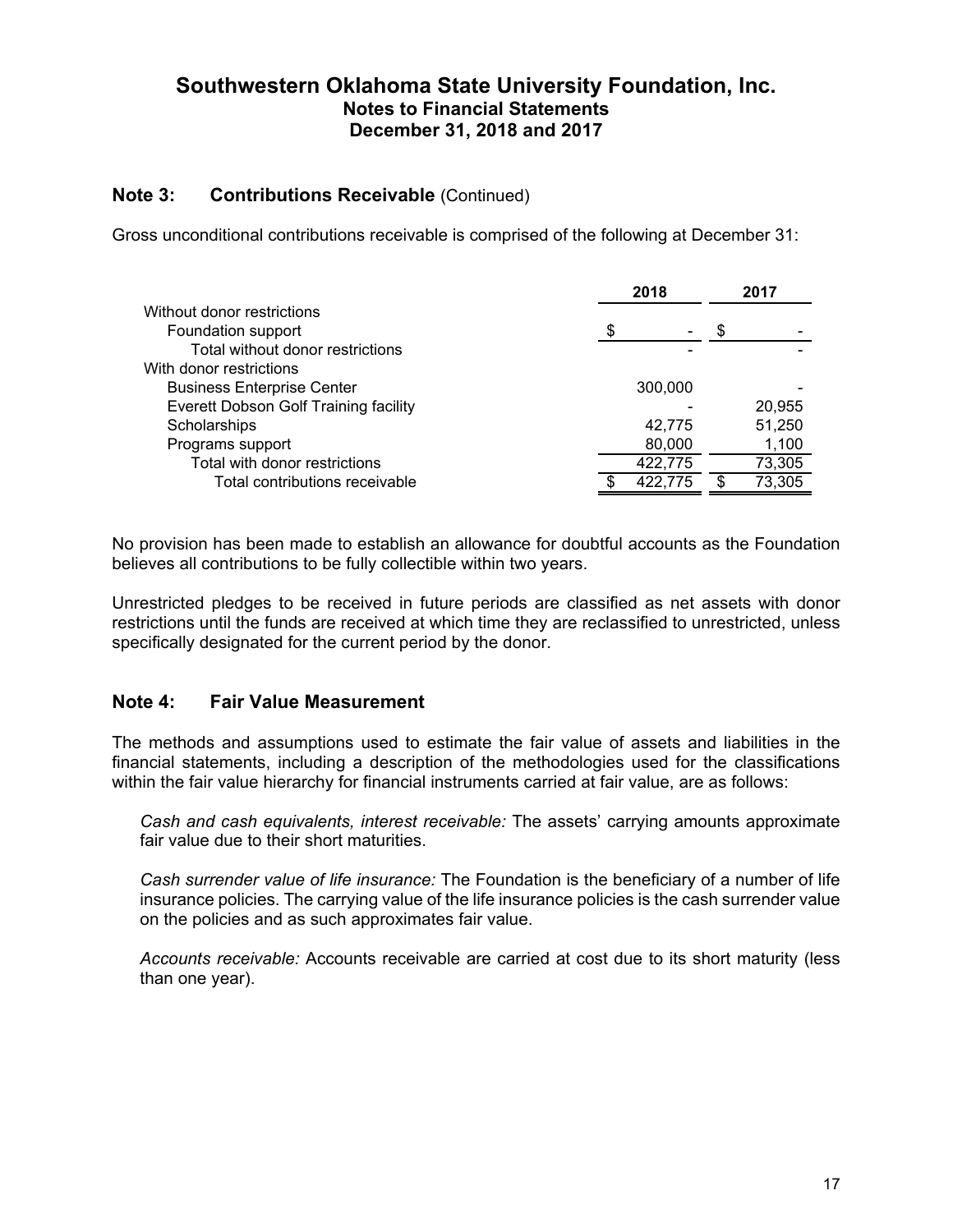### **Note 3: Contributions Receivable** (Continued)

Gross unconditional contributions receivable is comprised of the following at December 31:

|                                       | 2018 |         | 2017 |        |
|---------------------------------------|------|---------|------|--------|
| Without donor restrictions            |      |         |      |        |
| Foundation support                    | S    |         | S    |        |
| Total without donor restrictions      |      |         |      |        |
| With donor restrictions               |      |         |      |        |
| <b>Business Enterprise Center</b>     |      | 300,000 |      |        |
| Everett Dobson Golf Training facility |      |         |      | 20,955 |
| Scholarships                          |      | 42.775  |      | 51,250 |
| Programs support                      |      | 80,000  |      | 1,100  |
| Total with donor restrictions         |      | 422,775 |      | 73,305 |
| Total contributions receivable        |      | 422,775 | \$   | 73,305 |
|                                       |      |         |      |        |

No provision has been made to establish an allowance for doubtful accounts as the Foundation believes all contributions to be fully collectible within two years.

Unrestricted pledges to be received in future periods are classified as net assets with donor restrictions until the funds are received at which time they are reclassified to unrestricted, unless specifically designated for the current period by the donor.

### **Note 4: Fair Value Measurement**

The methods and assumptions used to estimate the fair value of assets and liabilities in the financial statements, including a description of the methodologies used for the classifications within the fair value hierarchy for financial instruments carried at fair value, are as follows:

*Cash and cash equivalents, interest receivable:* The assets' carrying amounts approximate fair value due to their short maturities.

*Cash surrender value of life insurance:* The Foundation is the beneficiary of a number of life insurance policies. The carrying value of the life insurance policies is the cash surrender value on the policies and as such approximates fair value.

*Accounts receivable:* Accounts receivable are carried at cost due to its short maturity (less than one year).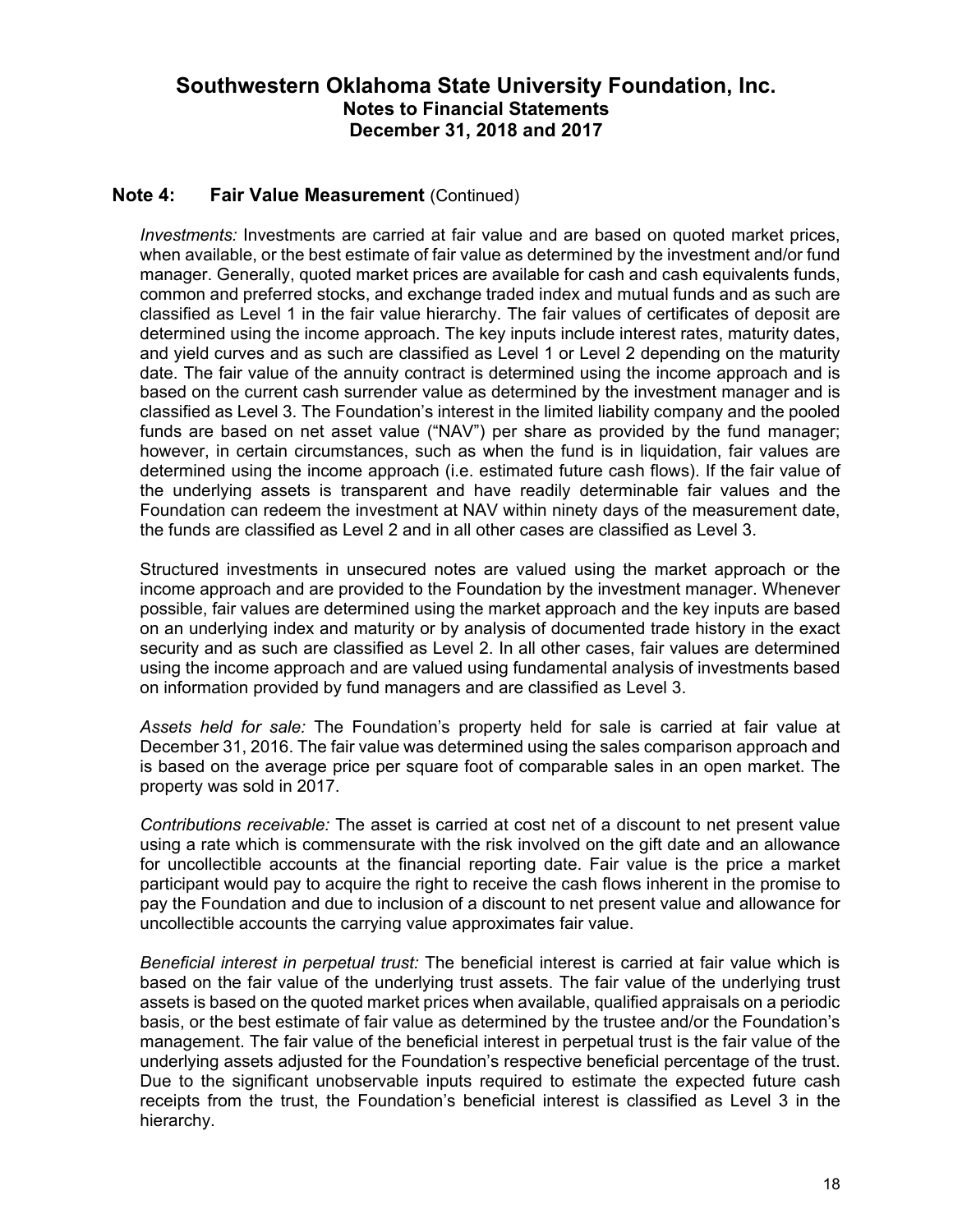### **Note 4: Fair Value Measurement** (Continued)

*Investments:* Investments are carried at fair value and are based on quoted market prices, when available, or the best estimate of fair value as determined by the investment and/or fund manager. Generally, quoted market prices are available for cash and cash equivalents funds, common and preferred stocks, and exchange traded index and mutual funds and as such are classified as Level 1 in the fair value hierarchy. The fair values of certificates of deposit are determined using the income approach. The key inputs include interest rates, maturity dates, and yield curves and as such are classified as Level 1 or Level 2 depending on the maturity date. The fair value of the annuity contract is determined using the income approach and is based on the current cash surrender value as determined by the investment manager and is classified as Level 3. The Foundation's interest in the limited liability company and the pooled funds are based on net asset value ("NAV") per share as provided by the fund manager; however, in certain circumstances, such as when the fund is in liquidation, fair values are determined using the income approach (i.e. estimated future cash flows). If the fair value of the underlying assets is transparent and have readily determinable fair values and the Foundation can redeem the investment at NAV within ninety days of the measurement date, the funds are classified as Level 2 and in all other cases are classified as Level 3.

Structured investments in unsecured notes are valued using the market approach or the income approach and are provided to the Foundation by the investment manager. Whenever possible, fair values are determined using the market approach and the key inputs are based on an underlying index and maturity or by analysis of documented trade history in the exact security and as such are classified as Level 2. In all other cases, fair values are determined using the income approach and are valued using fundamental analysis of investments based on information provided by fund managers and are classified as Level 3.

*Assets held for sale:* The Foundation's property held for sale is carried at fair value at December 31, 2016. The fair value was determined using the sales comparison approach and is based on the average price per square foot of comparable sales in an open market. The property was sold in 2017.

*Contributions receivable:* The asset is carried at cost net of a discount to net present value using a rate which is commensurate with the risk involved on the gift date and an allowance for uncollectible accounts at the financial reporting date. Fair value is the price a market participant would pay to acquire the right to receive the cash flows inherent in the promise to pay the Foundation and due to inclusion of a discount to net present value and allowance for uncollectible accounts the carrying value approximates fair value.

*Beneficial interest in perpetual trust:* The beneficial interest is carried at fair value which is based on the fair value of the underlying trust assets. The fair value of the underlying trust assets is based on the quoted market prices when available, qualified appraisals on a periodic basis, or the best estimate of fair value as determined by the trustee and/or the Foundation's management. The fair value of the beneficial interest in perpetual trust is the fair value of the underlying assets adjusted for the Foundation's respective beneficial percentage of the trust. Due to the significant unobservable inputs required to estimate the expected future cash receipts from the trust, the Foundation's beneficial interest is classified as Level 3 in the hierarchy.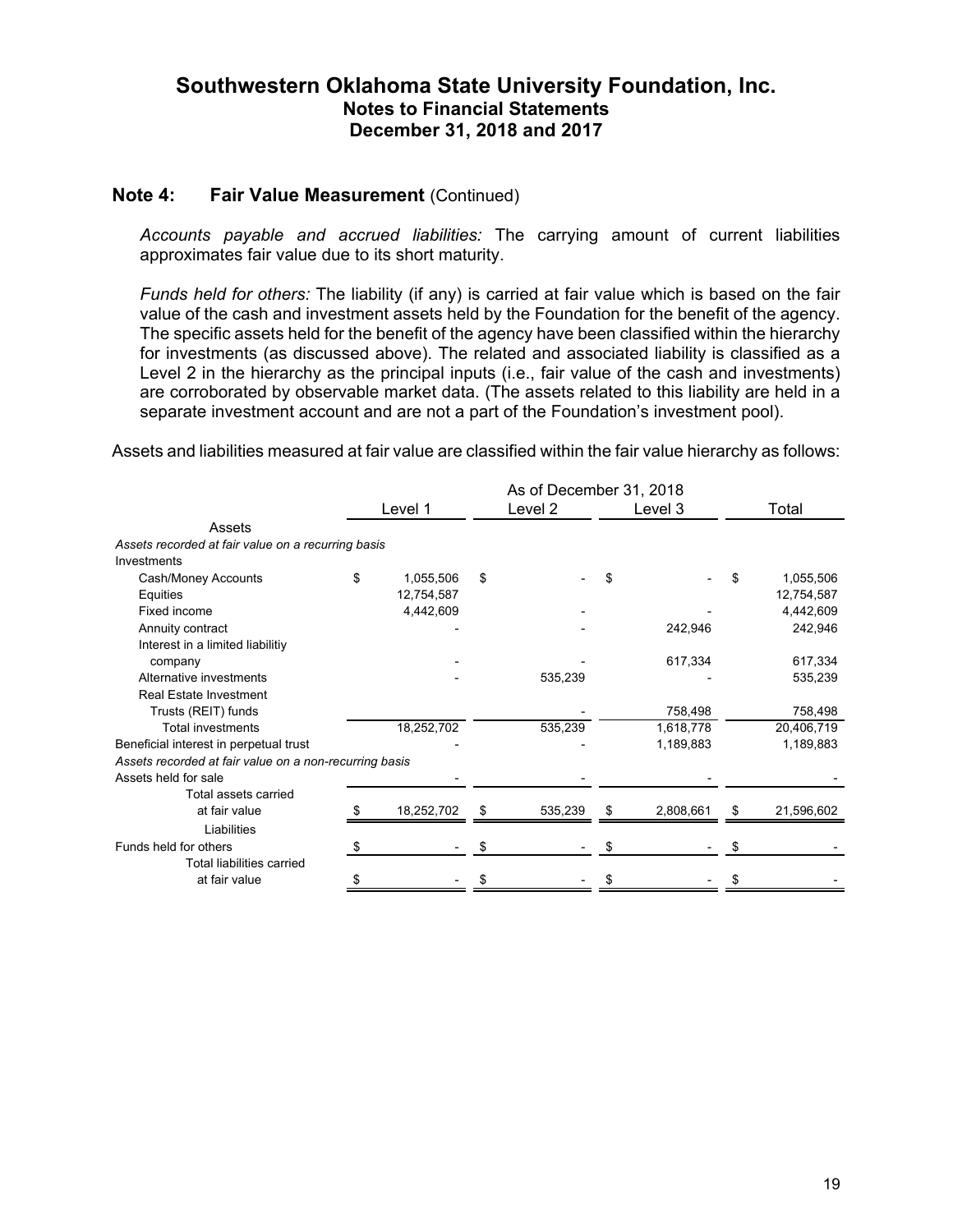#### **Note 4: Fair Value Measurement (Continued)**

*Accounts payable and accrued liabilities:* The carrying amount of current liabilities approximates fair value due to its short maturity.

*Funds held for others:* The liability (if any) is carried at fair value which is based on the fair value of the cash and investment assets held by the Foundation for the benefit of the agency. The specific assets held for the benefit of the agency have been classified within the hierarchy for investments (as discussed above). The related and associated liability is classified as a Level 2 in the hierarchy as the principal inputs (i.e., fair value of the cash and investments) are corroborated by observable market data. (The assets related to this liability are held in a separate investment account and are not a part of the Foundation's investment pool).

Assets and liabilities measured at fair value are classified within the fair value hierarchy as follows:

|                                                        | As of December 31, 2018 |            |         |         |   |           |       |            |
|--------------------------------------------------------|-------------------------|------------|---------|---------|---|-----------|-------|------------|
|                                                        | Level 1                 |            | Level 2 | Level 3 |   |           | Total |            |
| Assets                                                 |                         |            |         |         |   |           |       |            |
| Assets recorded at fair value on a recurring basis     |                         |            |         |         |   |           |       |            |
| Investments                                            |                         |            |         |         |   |           |       |            |
| Cash/Money Accounts                                    | \$                      | 1,055,506  | \$      |         |   |           |       | 1,055,506  |
| Equities                                               |                         | 12,754,587 |         |         |   |           |       | 12,754,587 |
| Fixed income                                           |                         | 4,442,609  |         |         |   |           |       | 4,442,609  |
| Annuity contract                                       |                         |            |         |         |   | 242,946   |       | 242,946    |
| Interest in a limited liabilitiy                       |                         |            |         |         |   |           |       |            |
| company                                                |                         |            |         |         |   | 617,334   |       | 617,334    |
| Alternative investments                                |                         |            |         | 535,239 |   |           |       | 535,239    |
| <b>Real Estate Investment</b>                          |                         |            |         |         |   |           |       |            |
| Trusts (REIT) funds                                    |                         |            |         |         |   | 758,498   |       | 758,498    |
| <b>Total investments</b>                               |                         | 18,252,702 |         | 535,239 |   | 1,618,778 |       | 20,406,719 |
| Beneficial interest in perpetual trust                 |                         |            |         |         |   | 1,189,883 |       | 1,189,883  |
| Assets recorded at fair value on a non-recurring basis |                         |            |         |         |   |           |       |            |
| Assets held for sale                                   |                         |            |         |         |   |           |       |            |
| Total assets carried                                   |                         |            |         |         |   |           |       |            |
| at fair value                                          |                         | 18,252,702 | \$      | 535,239 | S | 2,808,661 | \$    | 21,596,602 |
| Liabilities                                            |                         |            |         |         |   |           |       |            |
| Funds held for others                                  | S                       |            |         |         |   |           |       |            |
| <b>Total liabilities carried</b>                       |                         |            |         |         |   |           |       |            |
| at fair value                                          | S                       |            |         |         |   |           |       |            |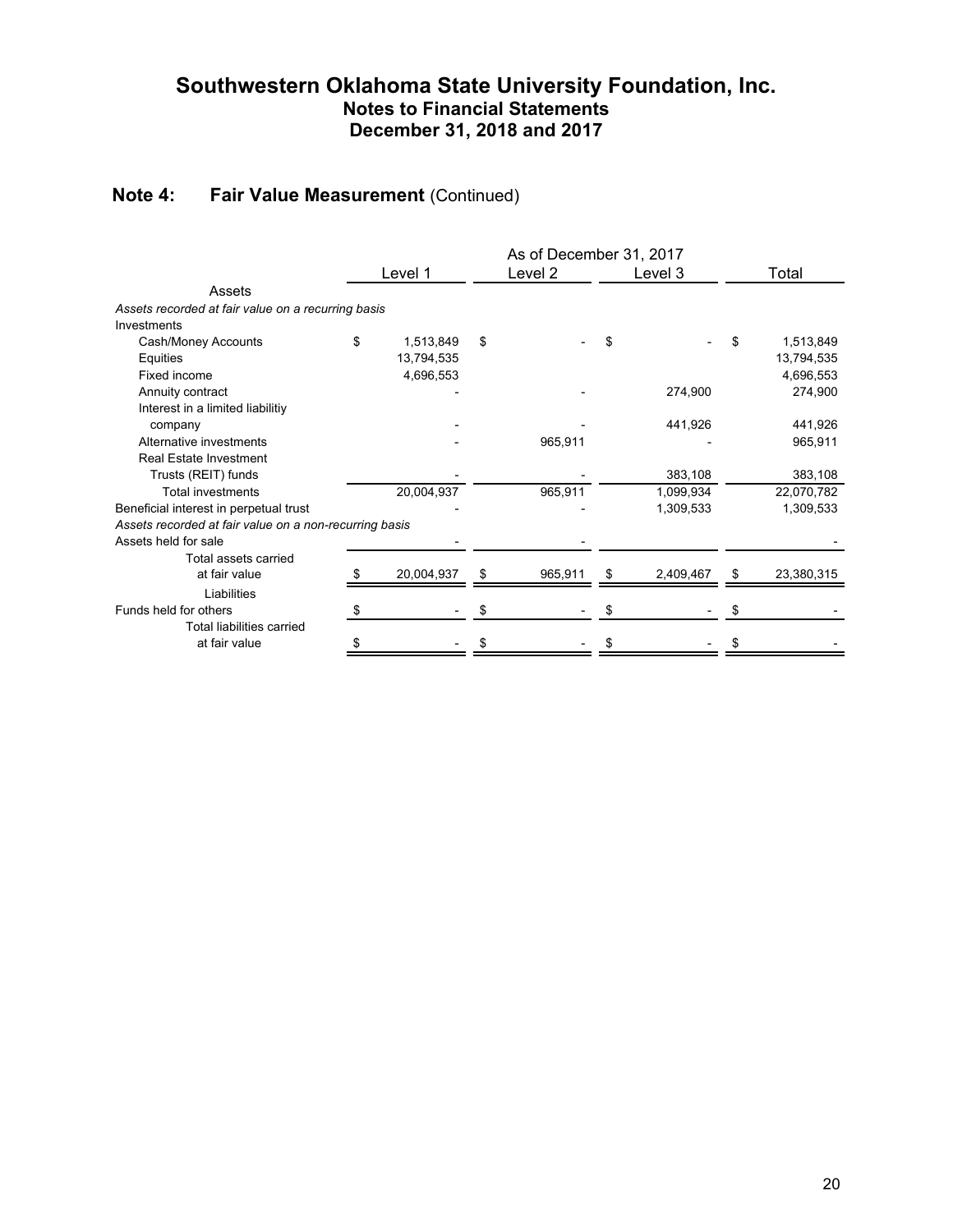## **Note 4: Fair Value Measurement** (Continued)

|                                                        | As of December 31, 2017 |            |    |         |    |           |                  |
|--------------------------------------------------------|-------------------------|------------|----|---------|----|-----------|------------------|
|                                                        |                         | Level 1    |    | Level 2 |    | Level 3   | Total            |
| Assets                                                 |                         |            |    |         |    |           |                  |
| Assets recorded at fair value on a recurring basis     |                         |            |    |         |    |           |                  |
| Investments                                            |                         |            |    |         |    |           |                  |
| Cash/Money Accounts                                    | \$                      | 1,513,849  | \$ |         | \$ |           | \$<br>1,513,849  |
| Equities                                               |                         | 13,794,535 |    |         |    |           | 13,794,535       |
| Fixed income                                           |                         | 4,696,553  |    |         |    |           | 4,696,553        |
| Annuity contract                                       |                         |            |    |         |    | 274,900   | 274,900          |
| Interest in a limited liabilitiy                       |                         |            |    |         |    |           |                  |
| company                                                |                         |            |    |         |    | 441,926   | 441,926          |
| Alternative investments                                |                         |            |    | 965,911 |    |           | 965,911          |
| <b>Real Estate Investment</b>                          |                         |            |    |         |    |           |                  |
| Trusts (REIT) funds                                    |                         |            |    |         |    | 383,108   | 383,108          |
| <b>Total investments</b>                               |                         | 20,004,937 |    | 965,911 |    | 1,099,934 | 22,070,782       |
| Beneficial interest in perpetual trust                 |                         |            |    |         |    | 1,309,533 | 1,309,533        |
| Assets recorded at fair value on a non-recurring basis |                         |            |    |         |    |           |                  |
| Assets held for sale                                   |                         |            |    |         |    |           |                  |
| Total assets carried                                   |                         |            |    |         |    |           |                  |
| at fair value                                          |                         | 20,004,937 | \$ | 965,911 | \$ | 2,409,467 | \$<br>23,380,315 |
| Liabilities                                            |                         |            |    |         |    |           |                  |
| Funds held for others                                  | S                       |            |    |         |    |           |                  |
| <b>Total liabilities carried</b>                       |                         |            |    |         |    |           |                  |
| at fair value                                          | S                       |            |    |         |    |           |                  |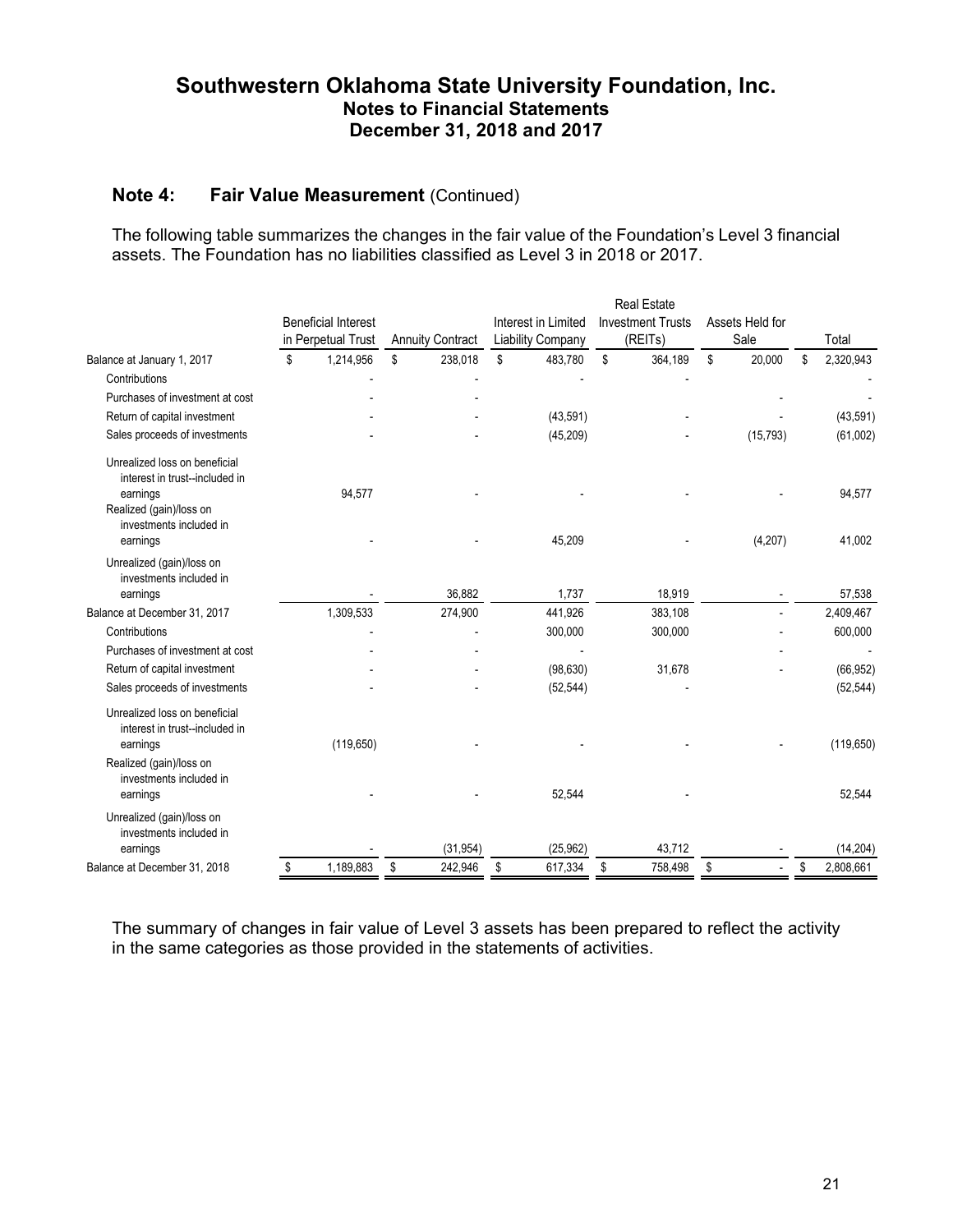### **Note 4: Fair Value Measurement (Continued)**

The following table summarizes the changes in the fair value of the Foundation's Level 3 financial assets. The Foundation has no liabilities classified as Level 3 in 2018 or 2017.

|                                                                 |                            |                         |                          | <b>Real Estate</b>       |                 |                 |
|-----------------------------------------------------------------|----------------------------|-------------------------|--------------------------|--------------------------|-----------------|-----------------|
|                                                                 | <b>Beneficial Interest</b> |                         | Interest in Limited      | <b>Investment Trusts</b> | Assets Held for |                 |
|                                                                 | in Perpetual Trust         | <b>Annuity Contract</b> | <b>Liability Company</b> | (REITs)                  | Sale            | Total           |
| Balance at January 1, 2017                                      | \$<br>1,214,956            | \$<br>238,018           | \$<br>483,780            | \$<br>364,189            | \$<br>20,000    | \$<br>2,320,943 |
| Contributions                                                   |                            |                         |                          |                          |                 |                 |
| Purchases of investment at cost                                 |                            |                         |                          |                          |                 |                 |
| Return of capital investment                                    |                            |                         | (43,591)                 |                          |                 | (43, 591)       |
| Sales proceeds of investments                                   |                            |                         | (45, 209)                |                          | (15, 793)       | (61,002)        |
| Unrealized loss on beneficial<br>interest in trust--included in |                            |                         |                          |                          |                 |                 |
| earnings<br>Realized (gain)/loss on<br>investments included in  | 94,577                     |                         |                          |                          |                 | 94,577          |
| earnings                                                        |                            |                         | 45,209                   |                          | (4,207)         | 41,002          |
| Unrealized (gain)/loss on<br>investments included in            |                            |                         |                          |                          |                 |                 |
| earnings                                                        |                            | 36.882                  | 1.737                    | 18,919                   |                 | 57.538          |
| Balance at December 31, 2017                                    | 1,309,533                  | 274,900                 | 441,926                  | 383,108                  |                 | 2,409,467       |
| Contributions                                                   |                            |                         | 300,000                  | 300,000                  |                 | 600,000         |
| Purchases of investment at cost                                 |                            |                         |                          |                          |                 |                 |
| Return of capital investment                                    |                            |                         | (98, 630)                | 31,678                   |                 | (66, 952)       |
| Sales proceeds of investments                                   |                            |                         | (52, 544)                |                          |                 | (52, 544)       |
| Unrealized loss on beneficial<br>interest in trust--included in |                            |                         |                          |                          |                 |                 |
| earnings<br>Realized (gain)/loss on<br>investments included in  | (119, 650)                 |                         |                          |                          |                 | (119, 650)      |
| earnings                                                        |                            |                         | 52,544                   |                          |                 | 52,544          |
| Unrealized (gain)/loss on<br>investments included in            |                            |                         |                          |                          |                 |                 |
| earnings                                                        |                            | (31, 954)               | (25, 962)                | 43,712                   |                 | (14, 204)       |
| Balance at December 31, 2018                                    | \$<br>1,189,883            | \$<br>242,946           | \$<br>617,334            | \$<br>758,498            | \$              | \$<br>2,808,661 |

The summary of changes in fair value of Level 3 assets has been prepared to reflect the activity in the same categories as those provided in the statements of activities.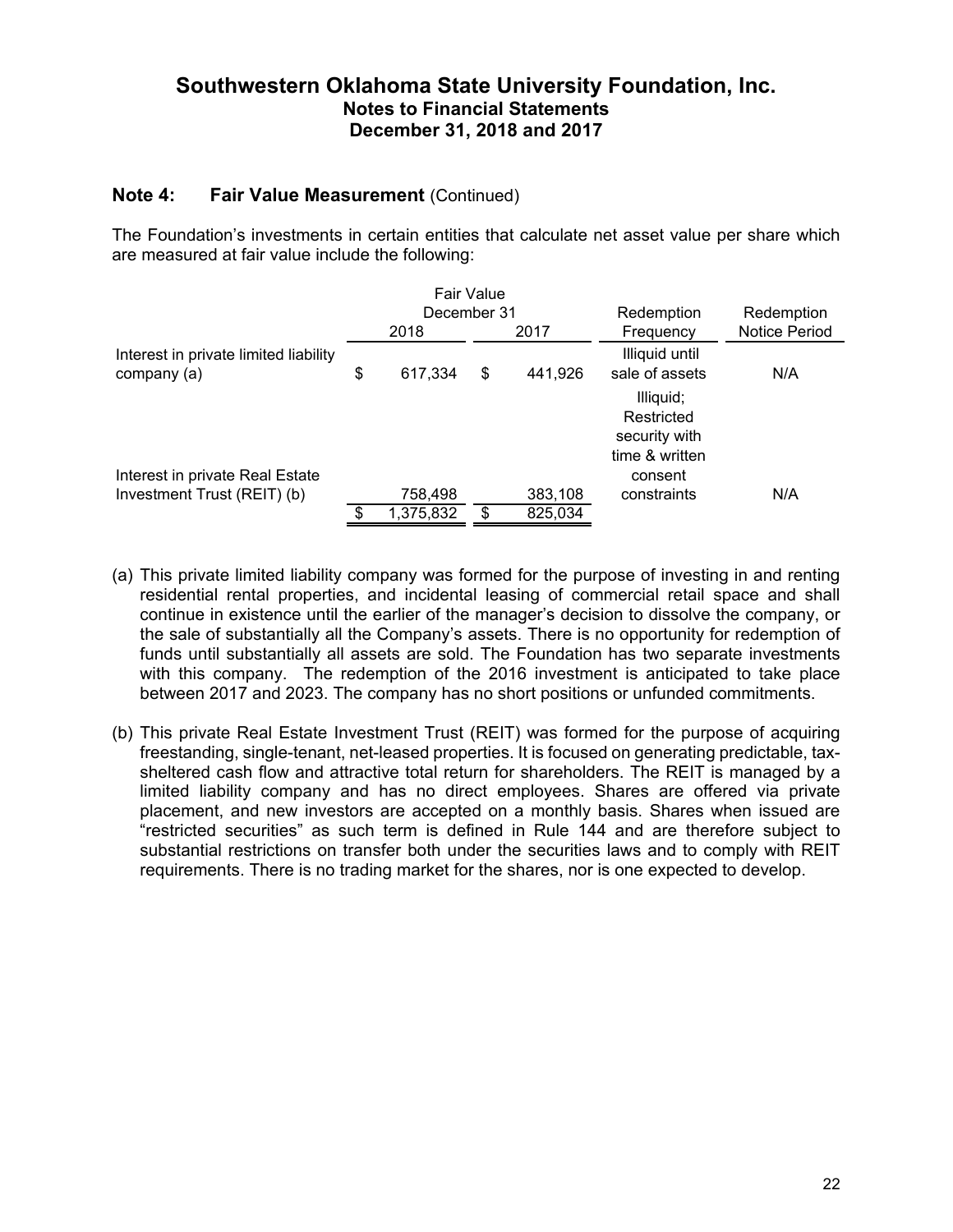### **Note 4: Fair Value Measurement** (Continued)

The Foundation's investments in certain entities that calculate net asset value per share which are measured at fair value include the following:

|                                                      |               | <b>Fair Value</b> |         |                                                            |                      |
|------------------------------------------------------|---------------|-------------------|---------|------------------------------------------------------------|----------------------|
|                                                      | December 31   |                   |         | Redemption                                                 | Redemption           |
|                                                      | 2018          |                   | 2017    | Frequency                                                  | <b>Notice Period</b> |
| Interest in private limited liability<br>company (a) | \$<br>617,334 | \$                | 441,926 | Illiquid until<br>sale of assets                           | N/A                  |
|                                                      |               |                   |         | Illiquid;<br>Restricted<br>security with<br>time & written |                      |
| Interest in private Real Estate                      |               |                   |         | consent                                                    |                      |
| Investment Trust (REIT) (b)                          | 758,498       |                   | 383,108 | constraints                                                | N/A                  |
|                                                      | 1,375,832     | \$                | 825,034 |                                                            |                      |

- (a) This private limited liability company was formed for the purpose of investing in and renting residential rental properties, and incidental leasing of commercial retail space and shall continue in existence until the earlier of the manager's decision to dissolve the company, or the sale of substantially all the Company's assets. There is no opportunity for redemption of funds until substantially all assets are sold. The Foundation has two separate investments with this company. The redemption of the 2016 investment is anticipated to take place between 2017 and 2023. The company has no short positions or unfunded commitments.
- (b) This private Real Estate Investment Trust (REIT) was formed for the purpose of acquiring freestanding, single-tenant, net-leased properties. It is focused on generating predictable, taxsheltered cash flow and attractive total return for shareholders. The REIT is managed by a limited liability company and has no direct employees. Shares are offered via private placement, and new investors are accepted on a monthly basis. Shares when issued are "restricted securities" as such term is defined in Rule 144 and are therefore subject to substantial restrictions on transfer both under the securities laws and to comply with REIT requirements. There is no trading market for the shares, nor is one expected to develop.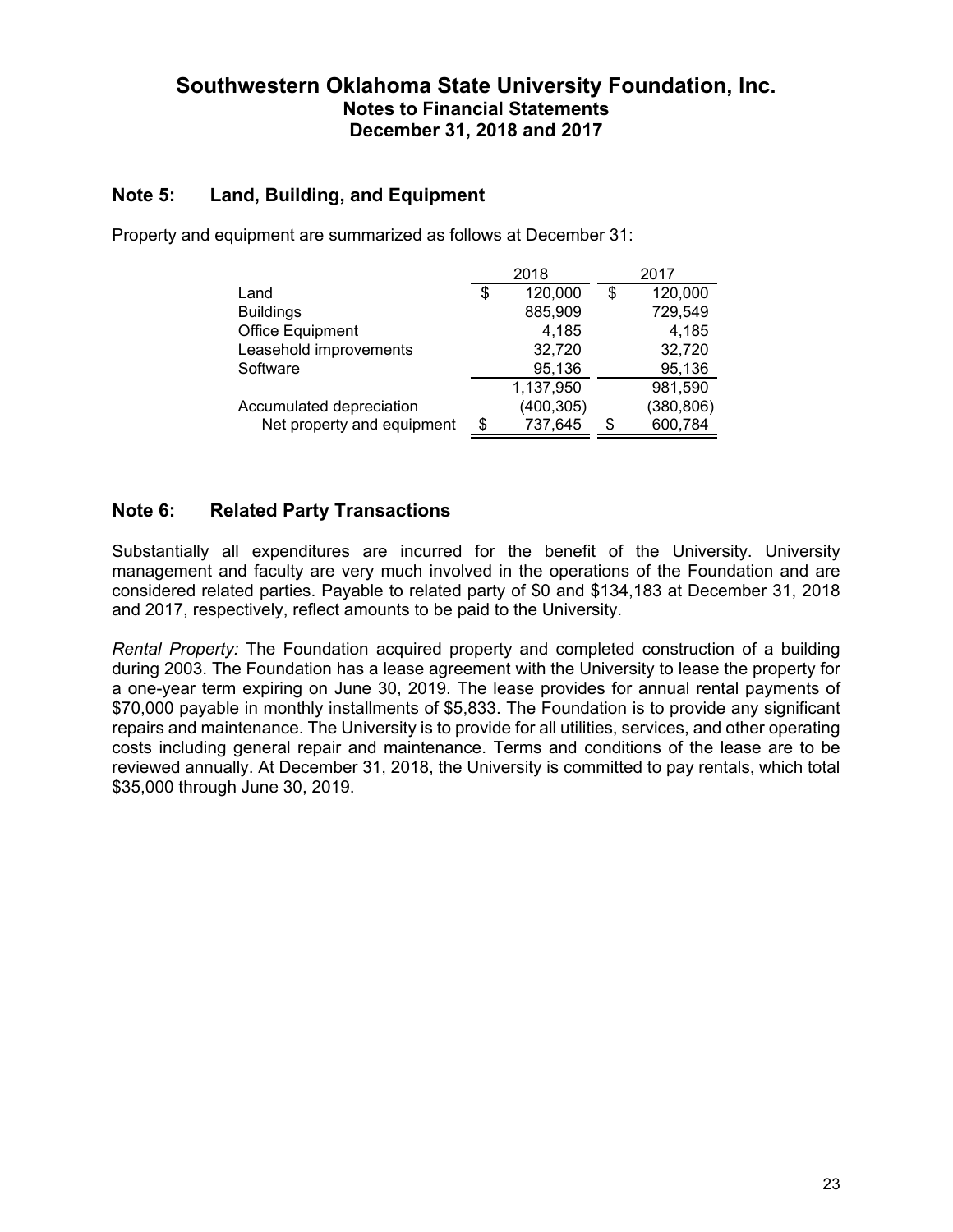### **Note 5: Land, Building, and Equipment**

|                            | 2018          | 2017          |
|----------------------------|---------------|---------------|
| Land                       | \$<br>120,000 | \$<br>120,000 |
| <b>Buildings</b>           | 885,909       | 729,549       |
| Office Equipment           | 4,185         | 4,185         |
| Leasehold improvements     | 32,720        | 32,720        |
| Software                   | 95,136        | 95,136        |
|                            | 1,137,950     | 981,590       |
| Accumulated depreciation   | (400, 305)    | (380, 806)    |
| Net property and equipment | \$<br>737,645 | \$<br>600,784 |

Property and equipment are summarized as follows at December 31:

### **Note 6: Related Party Transactions**

Substantially all expenditures are incurred for the benefit of the University. University management and faculty are very much involved in the operations of the Foundation and are considered related parties. Payable to related party of \$0 and \$134,183 at December 31, 2018 and 2017, respectively, reflect amounts to be paid to the University.

*Rental Property:* The Foundation acquired property and completed construction of a building during 2003. The Foundation has a lease agreement with the University to lease the property for a one-year term expiring on June 30, 2019. The lease provides for annual rental payments of \$70,000 payable in monthly installments of \$5,833. The Foundation is to provide any significant repairs and maintenance. The University is to provide for all utilities, services, and other operating costs including general repair and maintenance. Terms and conditions of the lease are to be reviewed annually. At December 31, 2018, the University is committed to pay rentals, which total \$35,000 through June 30, 2019.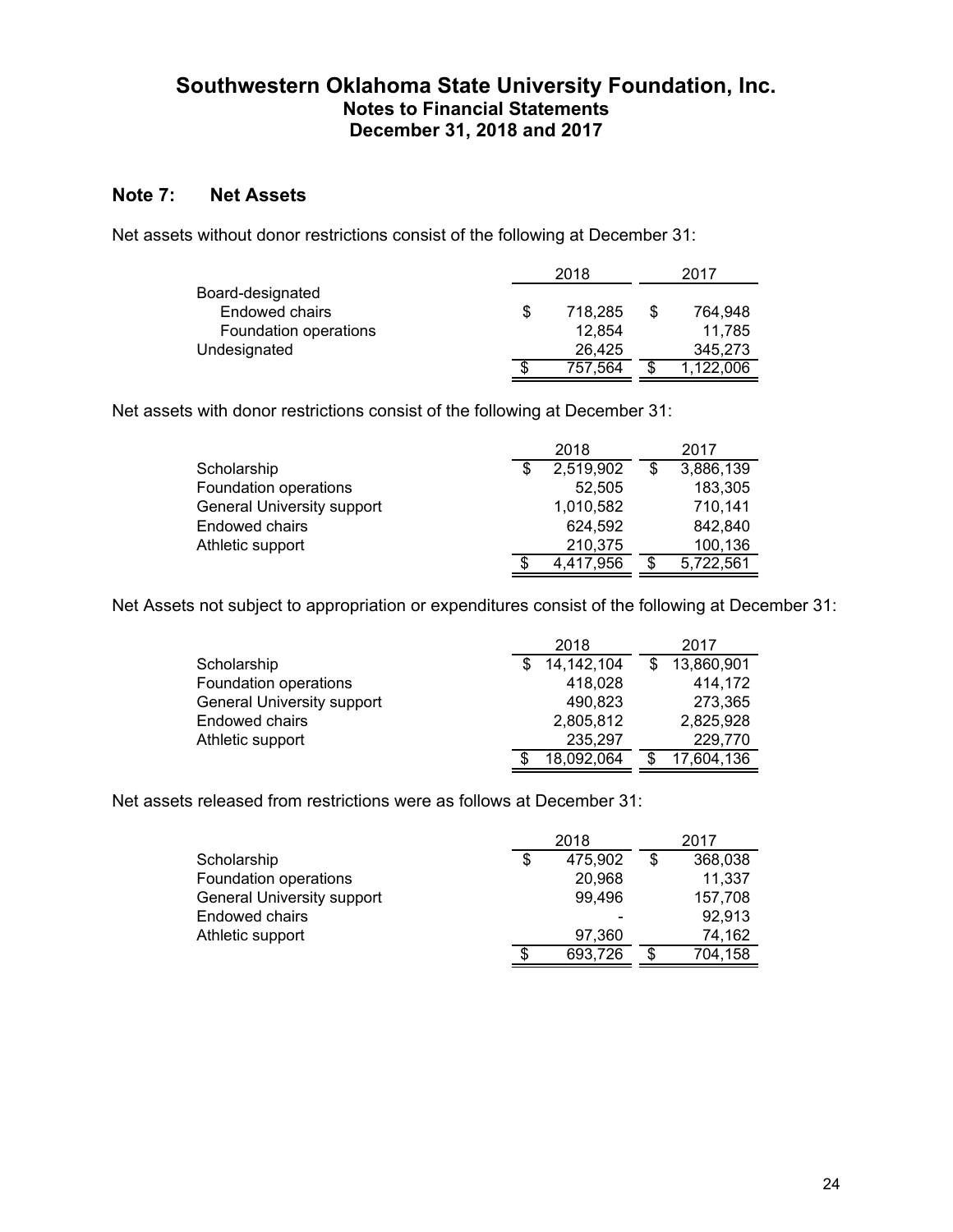### **Note 7: Net Assets**

Net assets without donor restrictions consist of the following at December 31:

|                       |    | 2018    | 2017      |  |
|-----------------------|----|---------|-----------|--|
| Board-designated      |    |         |           |  |
| Endowed chairs        | \$ | 718.285 | 764,948   |  |
| Foundation operations |    | 12,854  | 11.785    |  |
| Undesignated          |    | 26.425  | 345,273   |  |
|                       | S  | 757.564 | 1,122,006 |  |
|                       |    |         |           |  |

Net assets with donor restrictions consist of the following at December 31:

|                                   | 2018      |     | 2017      |
|-----------------------------------|-----------|-----|-----------|
| Scholarship                       | 2,519,902 | \$. | 3,886,139 |
| Foundation operations             | 52.505    |     | 183,305   |
| <b>General University support</b> | 1,010,582 |     | 710,141   |
| <b>Endowed chairs</b>             | 624,592   |     | 842,840   |
| Athletic support                  | 210,375   |     | 100,136   |
|                                   | 4,417,956 | \$  | 5,722,561 |

Net Assets not subject to appropriation or expenditures consist of the following at December 31:

|                                   | 2018         | 2017       |
|-----------------------------------|--------------|------------|
| Scholarship                       | 14, 142, 104 | 13,860,901 |
| Foundation operations             | 418,028      | 414,172    |
| <b>General University support</b> | 490,823      | 273,365    |
| Endowed chairs                    | 2,805,812    | 2,825,928  |
| Athletic support                  | 235,297      | 229,770    |
|                                   | 18,092,064   | 17,604,136 |

Net assets released from restrictions were as follows at December 31:

|                                   |    | 2018    | 2017          |
|-----------------------------------|----|---------|---------------|
| Scholarship                       | \$ | 475,902 | 368,038       |
| Foundation operations             |    | 20,968  | 11,337        |
| <b>General University support</b> |    | 99,496  | 157,708       |
| Endowed chairs                    |    |         | 92,913        |
| Athletic support                  |    | 97,360  | 74,162        |
|                                   | S  | 693,726 | \$<br>704,158 |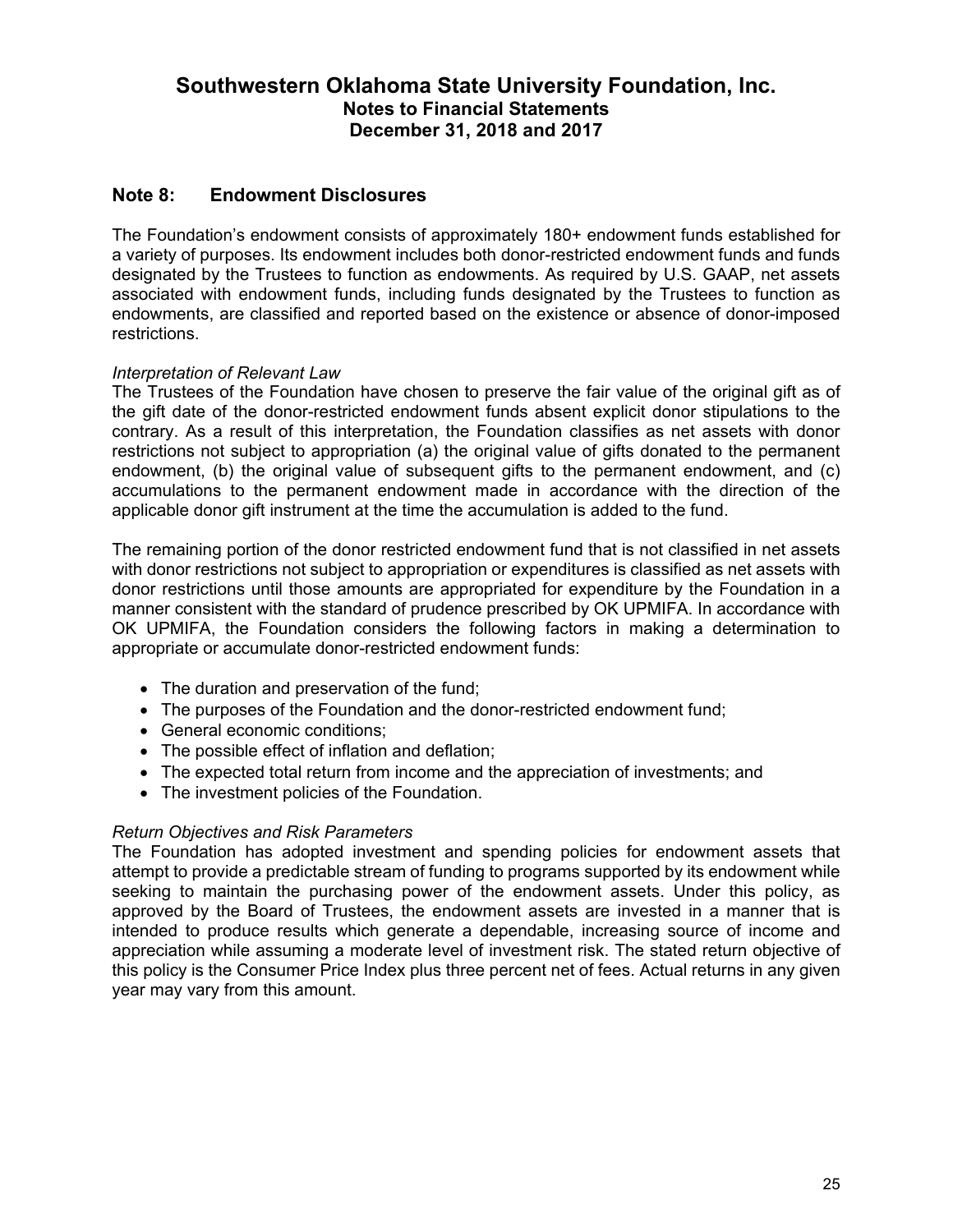### **Note 8: Endowment Disclosures**

The Foundation's endowment consists of approximately 180+ endowment funds established for a variety of purposes. Its endowment includes both donor-restricted endowment funds and funds designated by the Trustees to function as endowments. As required by U.S. GAAP, net assets associated with endowment funds, including funds designated by the Trustees to function as endowments, are classified and reported based on the existence or absence of donor-imposed restrictions.

#### *Interpretation of Relevant Law*

The Trustees of the Foundation have chosen to preserve the fair value of the original gift as of the gift date of the donor-restricted endowment funds absent explicit donor stipulations to the contrary. As a result of this interpretation, the Foundation classifies as net assets with donor restrictions not subject to appropriation (a) the original value of gifts donated to the permanent endowment, (b) the original value of subsequent gifts to the permanent endowment, and (c) accumulations to the permanent endowment made in accordance with the direction of the applicable donor gift instrument at the time the accumulation is added to the fund.

The remaining portion of the donor restricted endowment fund that is not classified in net assets with donor restrictions not subject to appropriation or expenditures is classified as net assets with donor restrictions until those amounts are appropriated for expenditure by the Foundation in a manner consistent with the standard of prudence prescribed by OK UPMIFA. In accordance with OK UPMIFA, the Foundation considers the following factors in making a determination to appropriate or accumulate donor-restricted endowment funds:

- The duration and preservation of the fund;
- The purposes of the Foundation and the donor-restricted endowment fund;
- General economic conditions:
- The possible effect of inflation and deflation;
- The expected total return from income and the appreciation of investments; and
- The investment policies of the Foundation.

#### *Return Objectives and Risk Parameters*

The Foundation has adopted investment and spending policies for endowment assets that attempt to provide a predictable stream of funding to programs supported by its endowment while seeking to maintain the purchasing power of the endowment assets. Under this policy, as approved by the Board of Trustees, the endowment assets are invested in a manner that is intended to produce results which generate a dependable, increasing source of income and appreciation while assuming a moderate level of investment risk. The stated return objective of this policy is the Consumer Price Index plus three percent net of fees. Actual returns in any given year may vary from this amount.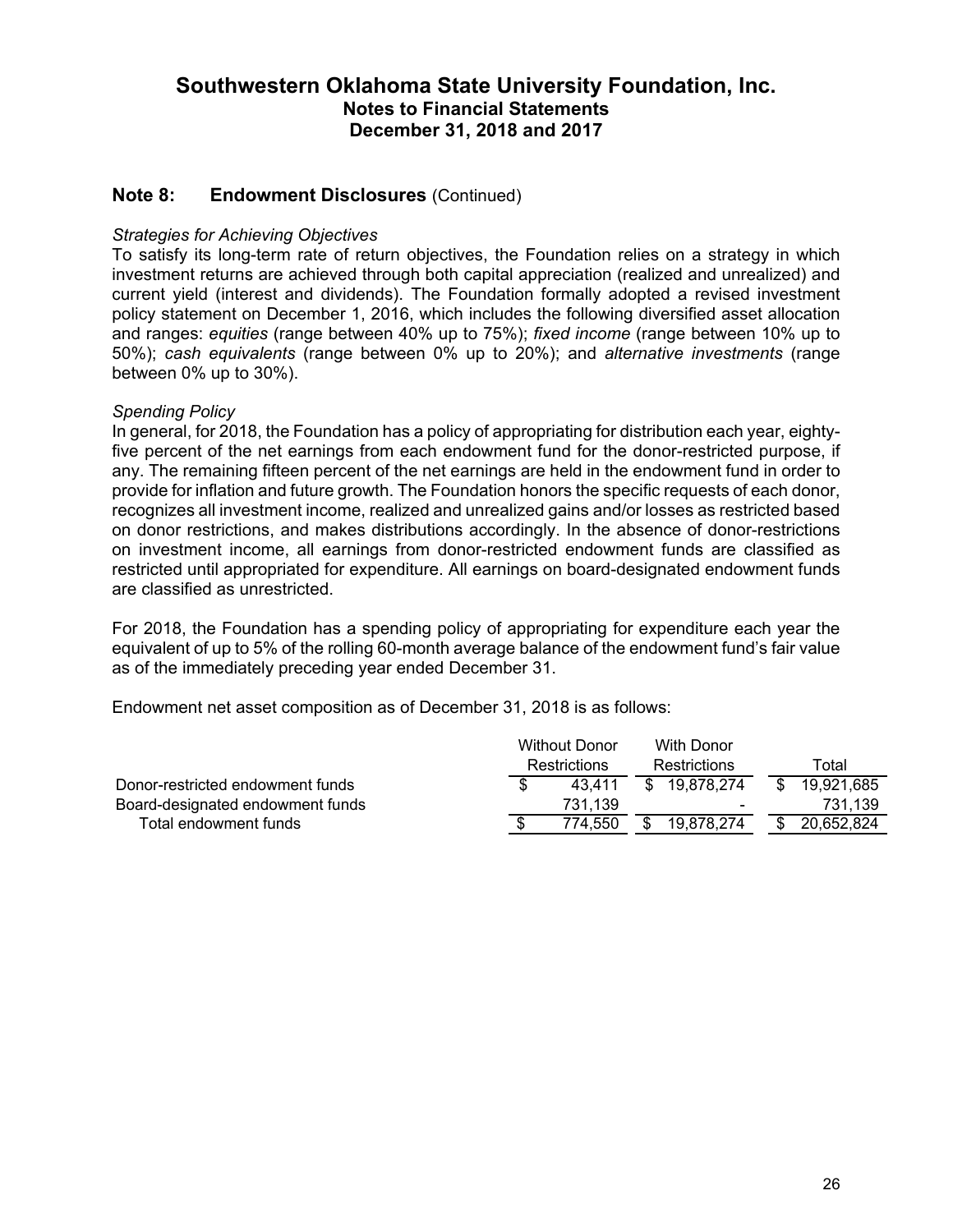### **Note 8: Endowment Disclosures** (Continued)

#### *Strategies for Achieving Objectives*

To satisfy its long-term rate of return objectives, the Foundation relies on a strategy in which investment returns are achieved through both capital appreciation (realized and unrealized) and current yield (interest and dividends). The Foundation formally adopted a revised investment policy statement on December 1, 2016, which includes the following diversified asset allocation and ranges: *equities* (range between 40% up to 75%); *fixed income* (range between 10% up to 50%); *cash equivalents* (range between 0% up to 20%); and *alternative investments* (range between 0% up to 30%).

#### *Spending Policy*

In general, for 2018, the Foundation has a policy of appropriating for distribution each year, eightyfive percent of the net earnings from each endowment fund for the donor-restricted purpose, if any. The remaining fifteen percent of the net earnings are held in the endowment fund in order to provide for inflation and future growth. The Foundation honors the specific requests of each donor, recognizes all investment income, realized and unrealized gains and/or losses as restricted based on donor restrictions, and makes distributions accordingly. In the absence of donor-restrictions on investment income, all earnings from donor-restricted endowment funds are classified as restricted until appropriated for expenditure. All earnings on board-designated endowment funds are classified as unrestricted.

For 2018, the Foundation has a spending policy of appropriating for expenditure each year the equivalent of up to 5% of the rolling 60-month average balance of the endowment fund's fair value as of the immediately preceding year ended December 31.

Endowment net asset composition as of December 31, 2018 is as follows:

|                                  | <b>Without Donor</b> |         | With Donor   |              |     |            |
|----------------------------------|----------------------|---------|--------------|--------------|-----|------------|
|                                  | <b>Restrictions</b>  |         | Restrictions |              |     | Total      |
| Donor-restricted endowment funds |                      | 43.411  |              | \$19,878,274 | -SS | 19,921,685 |
| Board-designated endowment funds |                      | 731.139 |              |              |     | 731.139    |
| Total endowment funds            |                      | 774.550 |              | 19,878,274   | \$  | 20,652,824 |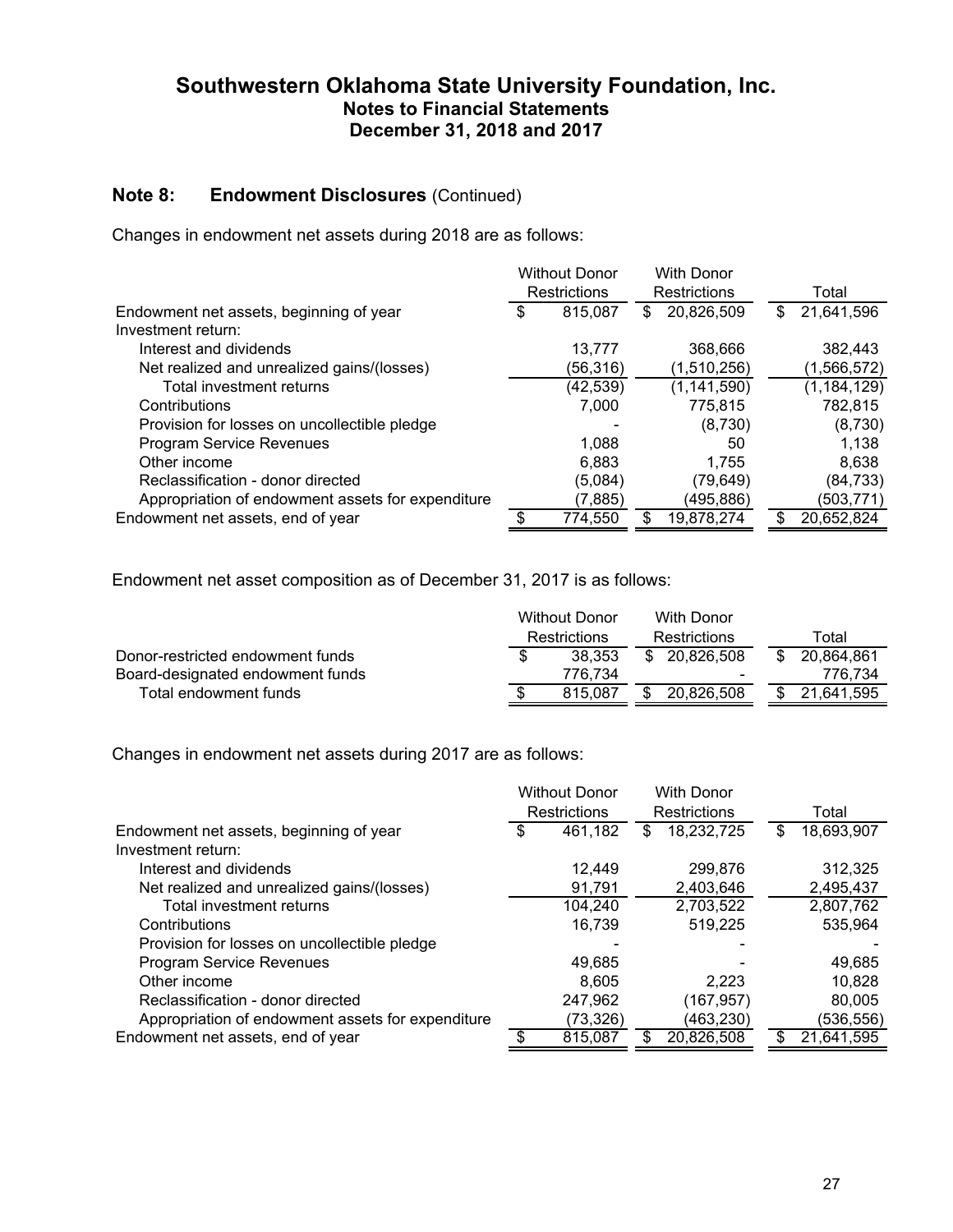### **Note 8: Endowment Disclosures** (Continued)

Changes in endowment net assets during 2018 are as follows:

|                                                   | <b>Without Donor</b> |           | <b>With Donor</b> |               |                  |
|---------------------------------------------------|----------------------|-----------|-------------------|---------------|------------------|
|                                                   | Restrictions         |           |                   | Restrictions  | Total            |
| Endowment net assets, beginning of year           | \$                   | 815,087   | \$.               | 20,826,509    | \$<br>21,641,596 |
| Investment return:                                |                      |           |                   |               |                  |
| Interest and dividends                            |                      | 13,777    |                   | 368,666       | 382,443          |
| Net realized and unrealized gains/(losses)        |                      | (56,316)  |                   | (1,510,256)   | (1, 566, 572)    |
| Total investment returns                          |                      | (42, 539) |                   | (1, 141, 590) | (1, 184, 129)    |
| Contributions                                     |                      | 7,000     |                   | 775,815       | 782,815          |
| Provision for losses on uncollectible pledge      |                      |           |                   | (8,730)       | (8,730)          |
| Program Service Revenues                          |                      | 1.088     |                   | 50            | 1.138            |
| Other income                                      |                      | 6,883     |                   | 1.755         | 8,638            |
| Reclassification - donor directed                 |                      | (5,084)   |                   | (79, 649)     | (84, 733)        |
| Appropriation of endowment assets for expenditure |                      | (7,885)   |                   | (495,886)     | (503, 771)       |
| Endowment net assets, end of year                 |                      | 774,550   | \$.               | 19,878,274    | \$<br>20,652,824 |

Endowment net asset composition as of December 31, 2017 is as follows:

|                                  |                     | Without Donor |  | <b>With Donor</b>        |     |            |
|----------------------------------|---------------------|---------------|--|--------------------------|-----|------------|
|                                  | <b>Restrictions</b> |               |  | <b>Restrictions</b>      |     | Total      |
| Donor-restricted endowment funds |                     | 38.353        |  | \$ 20.826,508            | \$. | 20,864,861 |
| Board-designated endowment funds |                     | 776.734       |  | $\overline{\phantom{0}}$ |     | 776.734    |
| Total endowment funds            |                     | 815.087       |  | 20.826.508               |     | 21.641.595 |

Changes in endowment net assets during 2017 are as follows:

|                                                   | <b>Without Donor</b> |          | <b>With Donor</b> |            |    |            |
|---------------------------------------------------|----------------------|----------|-------------------|------------|----|------------|
|                                                   | Restrictions         |          | Restrictions      |            |    | Total      |
| Endowment net assets, beginning of year           | \$                   | 461,182  | \$.               | 18,232,725 | \$ | 18,693,907 |
| Investment return:                                |                      |          |                   |            |    |            |
| Interest and dividends                            |                      | 12.449   |                   | 299,876    |    | 312,325    |
| Net realized and unrealized gains/(losses)        |                      | 91.791   |                   | 2,403,646  |    | 2,495,437  |
| Total investment returns                          |                      | 104,240  |                   | 2,703,522  |    | 2,807,762  |
| Contributions                                     |                      | 16,739   |                   | 519,225    |    | 535,964    |
| Provision for losses on uncollectible pledge      |                      |          |                   |            |    |            |
| Program Service Revenues                          |                      | 49,685   |                   |            |    | 49,685     |
| Other income                                      |                      | 8.605    |                   | 2.223      |    | 10.828     |
| Reclassification - donor directed                 |                      | 247,962  |                   | (167, 957) |    | 80,005     |
| Appropriation of endowment assets for expenditure |                      | (73,326) |                   | (463,230)  |    | (536,556)  |
| Endowment net assets, end of year                 |                      | 815,087  |                   | 20,826,508 | S  | 21,641,595 |